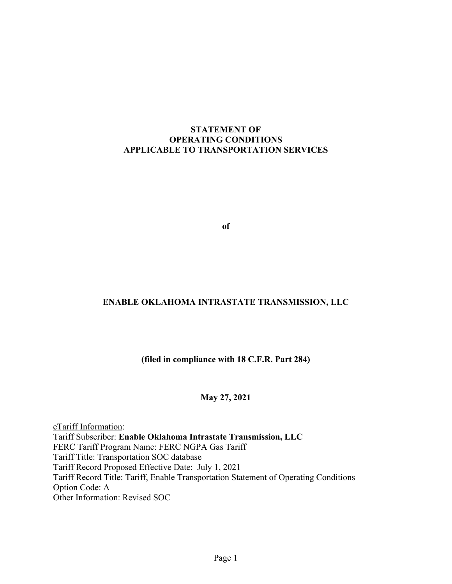#### **STATEMENT OF OPERATING CONDITIONS APPLICABLE TO TRANSPORTATION SERVICES**

**of** 

#### **ENABLE OKLAHOMA INTRASTATE TRANSMISSION, LLC**

#### **(filed in compliance with 18 C.F.R. Part 284)**

#### **May 27, 2021**

eTariff Information: Tariff Subscriber: **Enable Oklahoma Intrastate Transmission, LLC** FERC Tariff Program Name: FERC NGPA Gas Tariff Tariff Title: Transportation SOC database Tariff Record Proposed Effective Date: July 1, 2021 Tariff Record Title: Tariff, Enable Transportation Statement of Operating Conditions Option Code: A Other Information: Revised SOC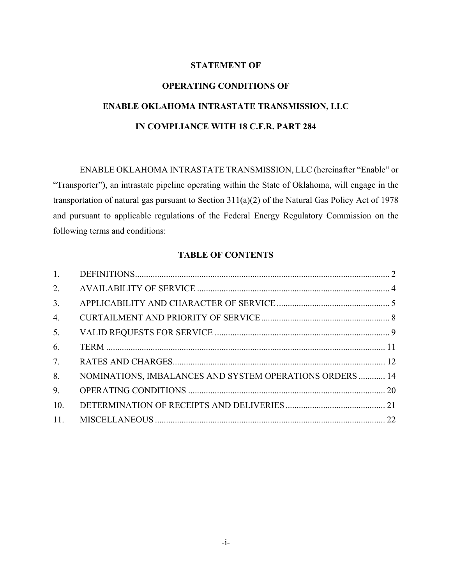#### **STATEMENT OF**

# **OPERATING CONDITIONS OF ENABLE OKLAHOMA INTRASTATE TRANSMISSION, LLC IN COMPLIANCE WITH 18 C.F.R. PART 284**

ENABLE OKLAHOMA INTRASTATE TRANSMISSION, LLC (hereinafter "Enable" or "Transporter"), an intrastate pipeline operating within the State of Oklahoma, will engage in the transportation of natural gas pursuant to Section 311(a)(2) of the Natural Gas Policy Act of 1978 and pursuant to applicable regulations of the Federal Energy Regulatory Commission on the following terms and conditions:

#### **TABLE OF CONTENTS**

| 1.               |                                                          |  |
|------------------|----------------------------------------------------------|--|
| 2.               |                                                          |  |
| 3.               |                                                          |  |
| $\overline{4}$ . |                                                          |  |
| 5.               |                                                          |  |
| 6.               |                                                          |  |
| 7.               |                                                          |  |
| 8.               | NOMINATIONS, IMBALANCES AND SYSTEM OPERATIONS ORDERS  14 |  |
| 9.               |                                                          |  |
| 10.              |                                                          |  |
| 11.              |                                                          |  |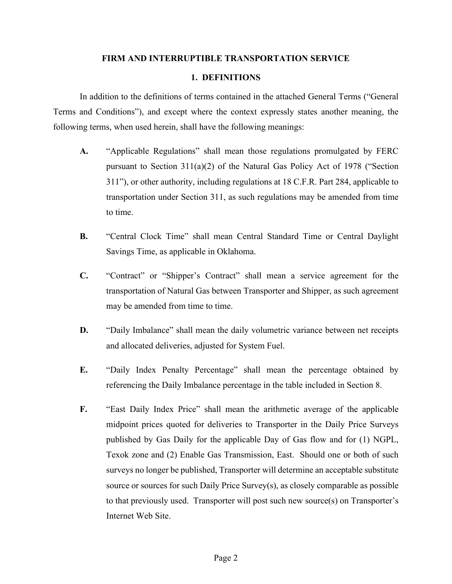#### **FIRM AND INTERRUPTIBLE TRANSPORTATION SERVICE**

#### **1. DEFINITIONS**

In addition to the definitions of terms contained in the attached General Terms ("General Terms and Conditions"), and except where the context expressly states another meaning, the following terms, when used herein, shall have the following meanings:

- **A.** "Applicable Regulations" shall mean those regulations promulgated by FERC pursuant to Section 311(a)(2) of the Natural Gas Policy Act of 1978 ("Section 311"), or other authority, including regulations at 18 C.F.R. Part 284, applicable to transportation under Section 311, as such regulations may be amended from time to time.
- **B.** "Central Clock Time" shall mean Central Standard Time or Central Daylight Savings Time, as applicable in Oklahoma.
- **C.** "Contract" or "Shipper's Contract" shall mean a service agreement for the transportation of Natural Gas between Transporter and Shipper, as such agreement may be amended from time to time.
- **D.** "Daily Imbalance" shall mean the daily volumetric variance between net receipts and allocated deliveries, adjusted for System Fuel.
- **E.** "Daily Index Penalty Percentage" shall mean the percentage obtained by referencing the Daily Imbalance percentage in the table included in Section 8.
- **F.** "East Daily Index Price" shall mean the arithmetic average of the applicable midpoint prices quoted for deliveries to Transporter in the Daily Price Surveys published by Gas Daily for the applicable Day of Gas flow and for (1) NGPL, Texok zone and (2) Enable Gas Transmission, East. Should one or both of such surveys no longer be published, Transporter will determine an acceptable substitute source or sources for such Daily Price Survey(s), as closely comparable as possible to that previously used. Transporter will post such new source(s) on Transporter's Internet Web Site.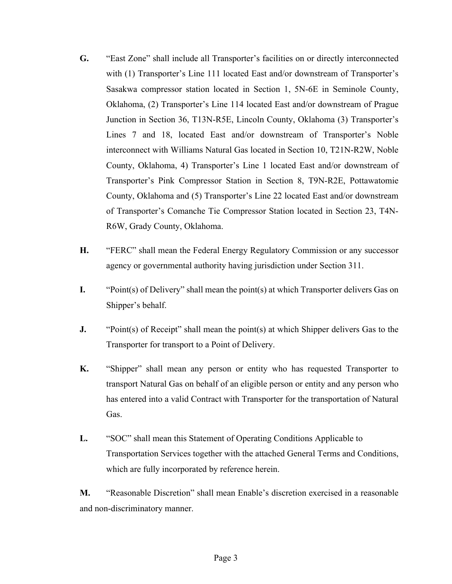- **G.** "East Zone" shall include all Transporter's facilities on or directly interconnected with (1) Transporter's Line 111 located East and/or downstream of Transporter's Sasakwa compressor station located in Section 1, 5N-6E in Seminole County, Oklahoma, (2) Transporter's Line 114 located East and/or downstream of Prague Junction in Section 36, T13N-R5E, Lincoln County, Oklahoma (3) Transporter's Lines 7 and 18, located East and/or downstream of Transporter's Noble interconnect with Williams Natural Gas located in Section 10, T21N-R2W, Noble County, Oklahoma, 4) Transporter's Line 1 located East and/or downstream of Transporter's Pink Compressor Station in Section 8, T9N-R2E, Pottawatomie County, Oklahoma and (5) Transporter's Line 22 located East and/or downstream of Transporter's Comanche Tie Compressor Station located in Section 23, T4N-R6W, Grady County, Oklahoma.
- **H.** "FERC" shall mean the Federal Energy Regulatory Commission or any successor agency or governmental authority having jurisdiction under Section 311.
- **I.** "Point(s) of Delivery" shall mean the point(s) at which Transporter delivers Gas on Shipper's behalf.
- **J.** "Point(s) of Receipt" shall mean the point(s) at which Shipper delivers Gas to the Transporter for transport to a Point of Delivery.
- **K.** "Shipper" shall mean any person or entity who has requested Transporter to transport Natural Gas on behalf of an eligible person or entity and any person who has entered into a valid Contract with Transporter for the transportation of Natural Gas.
- **L.** "SOC" shall mean this Statement of Operating Conditions Applicable to Transportation Services together with the attached General Terms and Conditions, which are fully incorporated by reference herein.

**M.** "Reasonable Discretion" shall mean Enable's discretion exercised in a reasonable and non-discriminatory manner.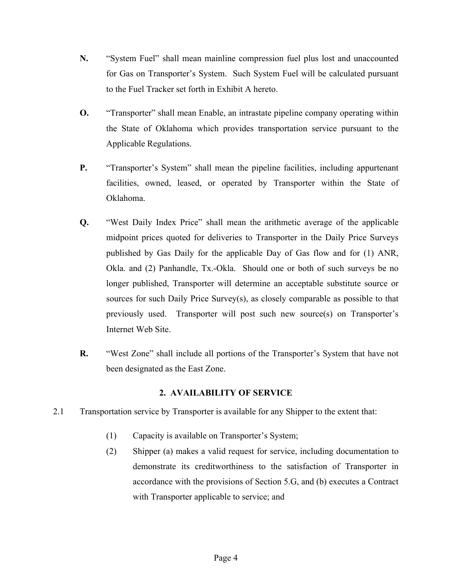- **N.** "System Fuel" shall mean mainline compression fuel plus lost and unaccounted for Gas on Transporter's System. Such System Fuel will be calculated pursuant to the Fuel Tracker set forth in Exhibit A hereto.
- **O.** "Transporter" shall mean Enable, an intrastate pipeline company operating within the State of Oklahoma which provides transportation service pursuant to the Applicable Regulations.
- **P.** "Transporter's System" shall mean the pipeline facilities, including appurtenant facilities, owned, leased, or operated by Transporter within the State of Oklahoma.
- **Q.** "West Daily Index Price" shall mean the arithmetic average of the applicable midpoint prices quoted for deliveries to Transporter in the Daily Price Surveys published by Gas Daily for the applicable Day of Gas flow and for (1) ANR, Okla. and (2) Panhandle, Tx.-Okla. Should one or both of such surveys be no longer published, Transporter will determine an acceptable substitute source or sources for such Daily Price Survey(s), as closely comparable as possible to that previously used. Transporter will post such new source(s) on Transporter's Internet Web Site.
- **R.** "West Zone" shall include all portions of the Transporter's System that have not been designated as the East Zone.

#### **2. AVAILABILITY OF SERVICE**

- 2.1 Transportation service by Transporter is available for any Shipper to the extent that:
	- (1) Capacity is available on Transporter's System;
	- (2) Shipper (a) makes a valid request for service, including documentation to demonstrate its creditworthiness to the satisfaction of Transporter in accordance with the provisions of Section 5.G, and (b) executes a Contract with Transporter applicable to service; and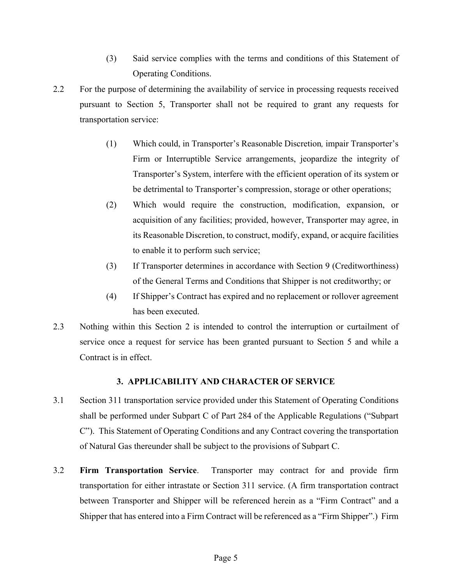- (3) Said service complies with the terms and conditions of this Statement of Operating Conditions.
- 2.2 For the purpose of determining the availability of service in processing requests received pursuant to Section 5, Transporter shall not be required to grant any requests for transportation service:
	- (1) Which could, in Transporter's Reasonable Discretion*,* impair Transporter's Firm or Interruptible Service arrangements, jeopardize the integrity of Transporter's System, interfere with the efficient operation of its system or be detrimental to Transporter's compression, storage or other operations;
	- (2) Which would require the construction, modification, expansion, or acquisition of any facilities; provided, however, Transporter may agree, in its Reasonable Discretion, to construct, modify, expand, or acquire facilities to enable it to perform such service;
	- (3) If Transporter determines in accordance with Section 9 (Creditworthiness) of the General Terms and Conditions that Shipper is not creditworthy; or
	- (4) If Shipper's Contract has expired and no replacement or rollover agreement has been executed.
- 2.3 Nothing within this Section 2 is intended to control the interruption or curtailment of service once a request for service has been granted pursuant to Section 5 and while a Contract is in effect.

#### **3. APPLICABILITY AND CHARACTER OF SERVICE**

- 3.1 Section 311 transportation service provided under this Statement of Operating Conditions shall be performed under Subpart C of Part 284 of the Applicable Regulations ("Subpart C"). This Statement of Operating Conditions and any Contract covering the transportation of Natural Gas thereunder shall be subject to the provisions of Subpart C.
- 3.2 **Firm Transportation Service**. Transporter may contract for and provide firm transportation for either intrastate or Section 311 service. (A firm transportation contract between Transporter and Shipper will be referenced herein as a "Firm Contract" and a Shipper that has entered into a Firm Contract will be referenced as a "Firm Shipper".) Firm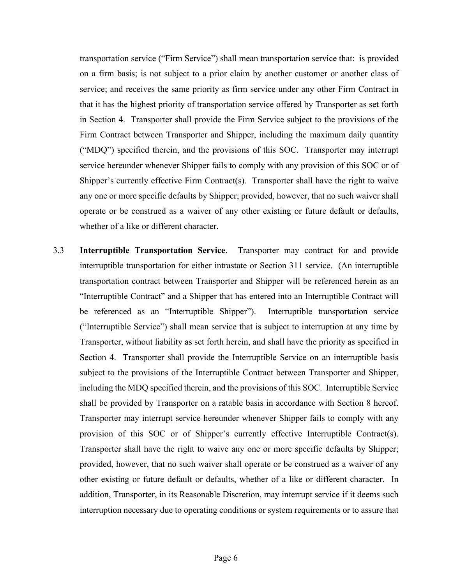transportation service ("Firm Service") shall mean transportation service that: is provided on a firm basis; is not subject to a prior claim by another customer or another class of service; and receives the same priority as firm service under any other Firm Contract in that it has the highest priority of transportation service offered by Transporter as set forth in Section 4. Transporter shall provide the Firm Service subject to the provisions of the Firm Contract between Transporter and Shipper, including the maximum daily quantity ("MDQ") specified therein, and the provisions of this SOC. Transporter may interrupt service hereunder whenever Shipper fails to comply with any provision of this SOC or of Shipper's currently effective Firm Contract(s). Transporter shall have the right to waive any one or more specific defaults by Shipper; provided, however, that no such waiver shall operate or be construed as a waiver of any other existing or future default or defaults, whether of a like or different character.

3.3 **Interruptible Transportation Service**. Transporter may contract for and provide interruptible transportation for either intrastate or Section 311 service. (An interruptible transportation contract between Transporter and Shipper will be referenced herein as an "Interruptible Contract" and a Shipper that has entered into an Interruptible Contract will be referenced as an "Interruptible Shipper"). Interruptible transportation service ("Interruptible Service") shall mean service that is subject to interruption at any time by Transporter, without liability as set forth herein, and shall have the priority as specified in Section 4. Transporter shall provide the Interruptible Service on an interruptible basis subject to the provisions of the Interruptible Contract between Transporter and Shipper, including the MDQ specified therein, and the provisions of this SOC. Interruptible Service shall be provided by Transporter on a ratable basis in accordance with Section 8 hereof. Transporter may interrupt service hereunder whenever Shipper fails to comply with any provision of this SOC or of Shipper's currently effective Interruptible Contract(s). Transporter shall have the right to waive any one or more specific defaults by Shipper; provided, however, that no such waiver shall operate or be construed as a waiver of any other existing or future default or defaults, whether of a like or different character. In addition, Transporter, in its Reasonable Discretion, may interrupt service if it deems such interruption necessary due to operating conditions or system requirements or to assure that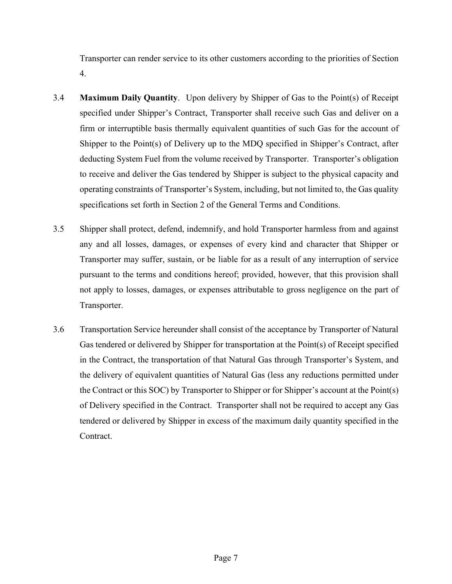Transporter can render service to its other customers according to the priorities of Section 4.

- 3.4 **Maximum Daily Quantity**. Upon delivery by Shipper of Gas to the Point(s) of Receipt specified under Shipper's Contract, Transporter shall receive such Gas and deliver on a firm or interruptible basis thermally equivalent quantities of such Gas for the account of Shipper to the Point(s) of Delivery up to the MDQ specified in Shipper's Contract, after deducting System Fuel from the volume received by Transporter. Transporter's obligation to receive and deliver the Gas tendered by Shipper is subject to the physical capacity and operating constraints of Transporter's System, including, but not limited to, the Gas quality specifications set forth in Section 2 of the General Terms and Conditions.
- 3.5 Shipper shall protect, defend, indemnify, and hold Transporter harmless from and against any and all losses, damages, or expenses of every kind and character that Shipper or Transporter may suffer, sustain, or be liable for as a result of any interruption of service pursuant to the terms and conditions hereof; provided, however, that this provision shall not apply to losses, damages, or expenses attributable to gross negligence on the part of Transporter.
- 3.6 Transportation Service hereunder shall consist of the acceptance by Transporter of Natural Gas tendered or delivered by Shipper for transportation at the Point(s) of Receipt specified in the Contract, the transportation of that Natural Gas through Transporter's System, and the delivery of equivalent quantities of Natural Gas (less any reductions permitted under the Contract or this SOC) by Transporter to Shipper or for Shipper's account at the Point(s) of Delivery specified in the Contract. Transporter shall not be required to accept any Gas tendered or delivered by Shipper in excess of the maximum daily quantity specified in the Contract.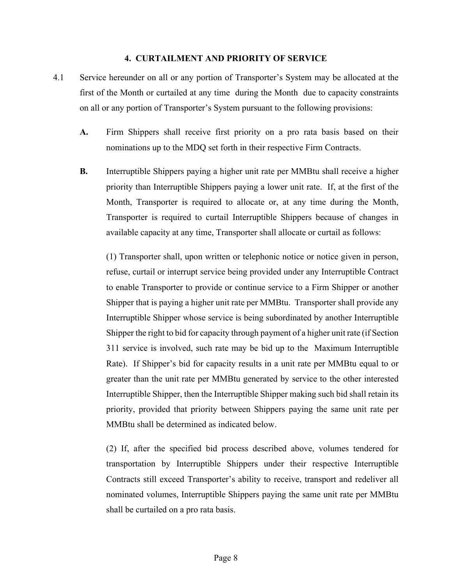#### **4. CURTAILMENT AND PRIORITY OF SERVICE**

- 4.1 Service hereunder on all or any portion of Transporter's System may be allocated at the first of the Month or curtailed at any time during the Month due to capacity constraints on all or any portion of Transporter's System pursuant to the following provisions:
	- **A.** Firm Shippers shall receive first priority on a pro rata basis based on their nominations up to the MDQ set forth in their respective Firm Contracts.
	- **B.** Interruptible Shippers paying a higher unit rate per MMBtu shall receive a higher priority than Interruptible Shippers paying a lower unit rate. If, at the first of the Month, Transporter is required to allocate or, at any time during the Month, Transporter is required to curtail Interruptible Shippers because of changes in available capacity at any time, Transporter shall allocate or curtail as follows:

(1) Transporter shall, upon written or telephonic notice or notice given in person, refuse, curtail or interrupt service being provided under any Interruptible Contract to enable Transporter to provide or continue service to a Firm Shipper or another Shipper that is paying a higher unit rate per MMBtu. Transporter shall provide any Interruptible Shipper whose service is being subordinated by another Interruptible Shipper the right to bid for capacity through payment of a higher unit rate (if Section 311 service is involved, such rate may be bid up to the Maximum Interruptible Rate). If Shipper's bid for capacity results in a unit rate per MMBtu equal to or greater than the unit rate per MMBtu generated by service to the other interested Interruptible Shipper, then the Interruptible Shipper making such bid shall retain its priority, provided that priority between Shippers paying the same unit rate per MMBtu shall be determined as indicated below.

(2) If, after the specified bid process described above, volumes tendered for transportation by Interruptible Shippers under their respective Interruptible Contracts still exceed Transporter's ability to receive, transport and redeliver all nominated volumes, Interruptible Shippers paying the same unit rate per MMBtu shall be curtailed on a pro rata basis.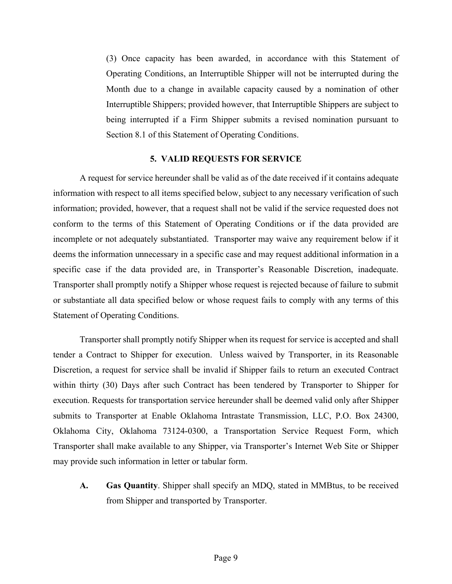(3) Once capacity has been awarded, in accordance with this Statement of Operating Conditions, an Interruptible Shipper will not be interrupted during the Month due to a change in available capacity caused by a nomination of other Interruptible Shippers; provided however, that Interruptible Shippers are subject to being interrupted if a Firm Shipper submits a revised nomination pursuant to Section 8.1 of this Statement of Operating Conditions.

#### **5. VALID REQUESTS FOR SERVICE**

A request for service hereunder shall be valid as of the date received if it contains adequate information with respect to all items specified below, subject to any necessary verification of such information; provided, however, that a request shall not be valid if the service requested does not conform to the terms of this Statement of Operating Conditions or if the data provided are incomplete or not adequately substantiated. Transporter may waive any requirement below if it deems the information unnecessary in a specific case and may request additional information in a specific case if the data provided are, in Transporter's Reasonable Discretion, inadequate. Transporter shall promptly notify a Shipper whose request is rejected because of failure to submit or substantiate all data specified below or whose request fails to comply with any terms of this Statement of Operating Conditions.

Transporter shall promptly notify Shipper when its request for service is accepted and shall tender a Contract to Shipper for execution. Unless waived by Transporter, in its Reasonable Discretion, a request for service shall be invalid if Shipper fails to return an executed Contract within thirty (30) Days after such Contract has been tendered by Transporter to Shipper for execution. Requests for transportation service hereunder shall be deemed valid only after Shipper submits to Transporter at Enable Oklahoma Intrastate Transmission, LLC, P.O. Box 24300, Oklahoma City, Oklahoma 73124-0300, a Transportation Service Request Form, which Transporter shall make available to any Shipper, via Transporter's Internet Web Site or Shipper may provide such information in letter or tabular form.

**A. Gas Quantity**. Shipper shall specify an MDQ, stated in MMBtus, to be received from Shipper and transported by Transporter.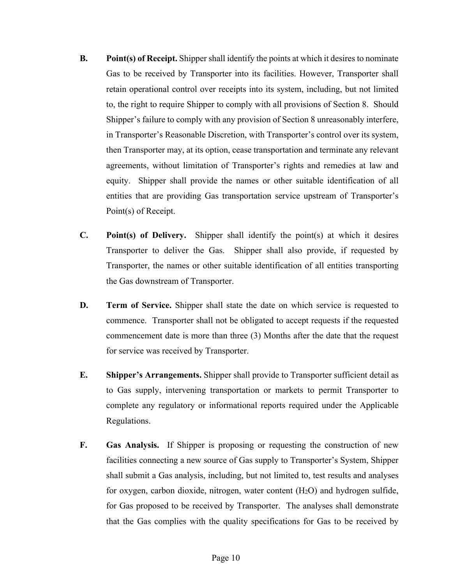- **B. Point(s) of Receipt.** Shipper shall identify the points at which it desires to nominate Gas to be received by Transporter into its facilities. However, Transporter shall retain operational control over receipts into its system, including, but not limited to, the right to require Shipper to comply with all provisions of Section 8. Should Shipper's failure to comply with any provision of Section 8 unreasonably interfere, in Transporter's Reasonable Discretion, with Transporter's control over its system, then Transporter may, at its option, cease transportation and terminate any relevant agreements, without limitation of Transporter's rights and remedies at law and equity. Shipper shall provide the names or other suitable identification of all entities that are providing Gas transportation service upstream of Transporter's Point(s) of Receipt.
- **C. Point(s) of Delivery.** Shipper shall identify the point(s) at which it desires Transporter to deliver the Gas. Shipper shall also provide, if requested by Transporter, the names or other suitable identification of all entities transporting the Gas downstream of Transporter.
- **D. Term of Service.** Shipper shall state the date on which service is requested to commence. Transporter shall not be obligated to accept requests if the requested commencement date is more than three (3) Months after the date that the request for service was received by Transporter.
- **E. Shipper's Arrangements.** Shipper shall provide to Transporter sufficient detail as to Gas supply, intervening transportation or markets to permit Transporter to complete any regulatory or informational reports required under the Applicable Regulations.
- **F. Gas Analysis.** If Shipper is proposing or requesting the construction of new facilities connecting a new source of Gas supply to Transporter's System, Shipper shall submit a Gas analysis, including, but not limited to, test results and analyses for oxygen, carbon dioxide, nitrogen, water content (H2O) and hydrogen sulfide, for Gas proposed to be received by Transporter. The analyses shall demonstrate that the Gas complies with the quality specifications for Gas to be received by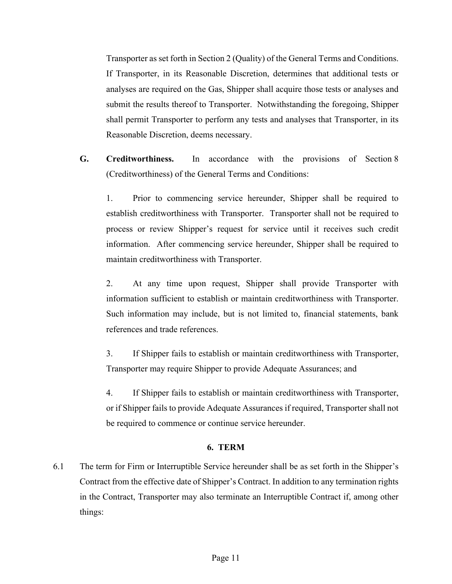Transporter as set forth in Section 2 (Quality) of the General Terms and Conditions. If Transporter, in its Reasonable Discretion, determines that additional tests or analyses are required on the Gas, Shipper shall acquire those tests or analyses and submit the results thereof to Transporter. Notwithstanding the foregoing, Shipper shall permit Transporter to perform any tests and analyses that Transporter, in its Reasonable Discretion, deems necessary.

**G. Creditworthiness.** In accordance with the provisions of Section 8 (Creditworthiness) of the General Terms and Conditions:

1. Prior to commencing service hereunder, Shipper shall be required to establish creditworthiness with Transporter. Transporter shall not be required to process or review Shipper's request for service until it receives such credit information. After commencing service hereunder, Shipper shall be required to maintain creditworthiness with Transporter.

2. At any time upon request, Shipper shall provide Transporter with information sufficient to establish or maintain creditworthiness with Transporter. Such information may include, but is not limited to, financial statements, bank references and trade references.

3. If Shipper fails to establish or maintain creditworthiness with Transporter, Transporter may require Shipper to provide Adequate Assurances; and

4. If Shipper fails to establish or maintain creditworthiness with Transporter, or if Shipper fails to provide Adequate Assurances if required, Transporter shall not be required to commence or continue service hereunder.

#### **6. TERM**

6.1 The term for Firm or Interruptible Service hereunder shall be as set forth in the Shipper's Contract from the effective date of Shipper's Contract. In addition to any termination rights in the Contract, Transporter may also terminate an Interruptible Contract if, among other things: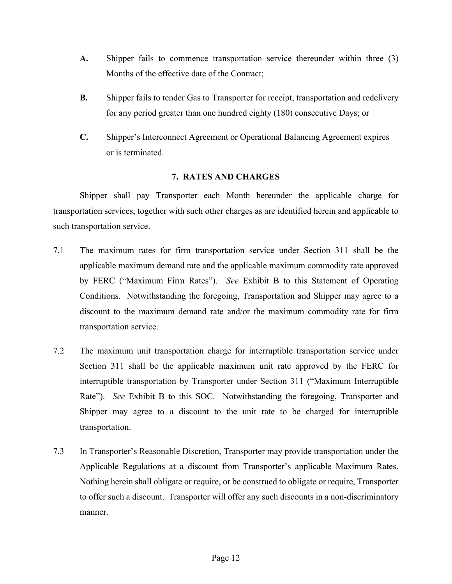- **A.** Shipper fails to commence transportation service thereunder within three (3) Months of the effective date of the Contract;
- **B.** Shipper fails to tender Gas to Transporter for receipt, transportation and redelivery for any period greater than one hundred eighty (180) consecutive Days; or
- **C.** Shipper's Interconnect Agreement or Operational Balancing Agreement expires or is terminated.

#### **7. RATES AND CHARGES**

Shipper shall pay Transporter each Month hereunder the applicable charge for transportation services, together with such other charges as are identified herein and applicable to such transportation service.

- 7.1 The maximum rates for firm transportation service under Section 311 shall be the applicable maximum demand rate and the applicable maximum commodity rate approved by FERC ("Maximum Firm Rates"). *See* Exhibit B to this Statement of Operating Conditions. Notwithstanding the foregoing, Transportation and Shipper may agree to a discount to the maximum demand rate and/or the maximum commodity rate for firm transportation service.
- 7.2 The maximum unit transportation charge for interruptible transportation service under Section 311 shall be the applicable maximum unit rate approved by the FERC for interruptible transportation by Transporter under Section 311 ("Maximum Interruptible Rate"). *See* Exhibit B to this SOC. Notwithstanding the foregoing, Transporter and Shipper may agree to a discount to the unit rate to be charged for interruptible transportation.
- 7.3 In Transporter's Reasonable Discretion, Transporter may provide transportation under the Applicable Regulations at a discount from Transporter's applicable Maximum Rates. Nothing herein shall obligate or require, or be construed to obligate or require, Transporter to offer such a discount. Transporter will offer any such discounts in a non-discriminatory manner.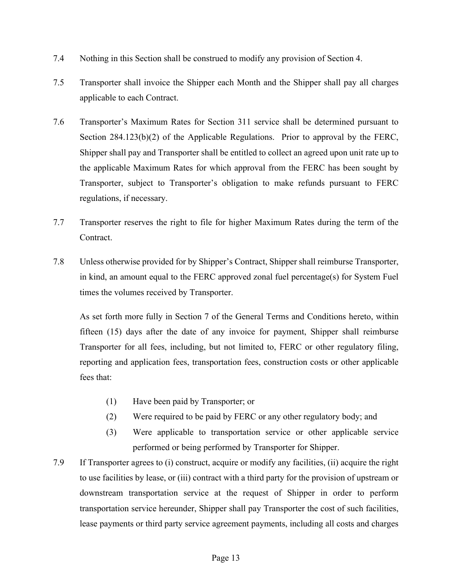- 7.4 Nothing in this Section shall be construed to modify any provision of Section 4.
- 7.5 Transporter shall invoice the Shipper each Month and the Shipper shall pay all charges applicable to each Contract.
- 7.6 Transporter's Maximum Rates for Section 311 service shall be determined pursuant to Section 284.123(b)(2) of the Applicable Regulations. Prior to approval by the FERC, Shipper shall pay and Transporter shall be entitled to collect an agreed upon unit rate up to the applicable Maximum Rates for which approval from the FERC has been sought by Transporter, subject to Transporter's obligation to make refunds pursuant to FERC regulations, if necessary.
- 7.7 Transporter reserves the right to file for higher Maximum Rates during the term of the Contract.
- 7.8 Unless otherwise provided for by Shipper's Contract, Shipper shall reimburse Transporter, in kind, an amount equal to the FERC approved zonal fuel percentage(s) for System Fuel times the volumes received by Transporter.

As set forth more fully in Section 7 of the General Terms and Conditions hereto, within fifteen (15) days after the date of any invoice for payment, Shipper shall reimburse Transporter for all fees, including, but not limited to, FERC or other regulatory filing, reporting and application fees, transportation fees, construction costs or other applicable fees that:

- (1) Have been paid by Transporter; or
- (2) Were required to be paid by FERC or any other regulatory body; and
- (3) Were applicable to transportation service or other applicable service performed or being performed by Transporter for Shipper.
- 7.9 If Transporter agrees to (i) construct, acquire or modify any facilities, (ii) acquire the right to use facilities by lease, or (iii) contract with a third party for the provision of upstream or downstream transportation service at the request of Shipper in order to perform transportation service hereunder, Shipper shall pay Transporter the cost of such facilities, lease payments or third party service agreement payments, including all costs and charges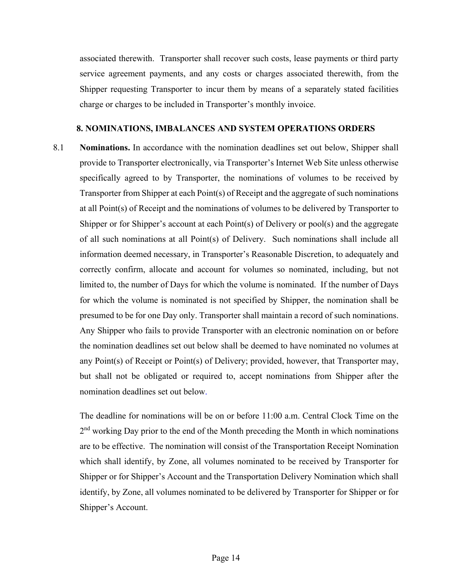associated therewith. Transporter shall recover such costs, lease payments or third party service agreement payments, and any costs or charges associated therewith, from the Shipper requesting Transporter to incur them by means of a separately stated facilities charge or charges to be included in Transporter's monthly invoice.

#### **8. NOMINATIONS, IMBALANCES AND SYSTEM OPERATIONS ORDERS**

8.1 **Nominations.** In accordance with the nomination deadlines set out below, Shipper shall provide to Transporter electronically, via Transporter's Internet Web Site unless otherwise specifically agreed to by Transporter, the nominations of volumes to be received by Transporter from Shipper at each Point(s) of Receipt and the aggregate of such nominations at all Point(s) of Receipt and the nominations of volumes to be delivered by Transporter to Shipper or for Shipper's account at each Point(s) of Delivery or pool(s) and the aggregate of all such nominations at all Point(s) of Delivery. Such nominations shall include all information deemed necessary, in Transporter's Reasonable Discretion, to adequately and correctly confirm, allocate and account for volumes so nominated, including, but not limited to, the number of Days for which the volume is nominated. If the number of Days for which the volume is nominated is not specified by Shipper, the nomination shall be presumed to be for one Day only. Transporter shall maintain a record of such nominations. Any Shipper who fails to provide Transporter with an electronic nomination on or before the nomination deadlines set out below shall be deemed to have nominated no volumes at any Point(s) of Receipt or Point(s) of Delivery; provided, however, that Transporter may, but shall not be obligated or required to, accept nominations from Shipper after the nomination deadlines set out below.

The deadline for nominations will be on or before 11:00 a.m. Central Clock Time on the 2<sup>nd</sup> working Day prior to the end of the Month preceding the Month in which nominations are to be effective. The nomination will consist of the Transportation Receipt Nomination which shall identify, by Zone, all volumes nominated to be received by Transporter for Shipper or for Shipper's Account and the Transportation Delivery Nomination which shall identify, by Zone, all volumes nominated to be delivered by Transporter for Shipper or for Shipper's Account.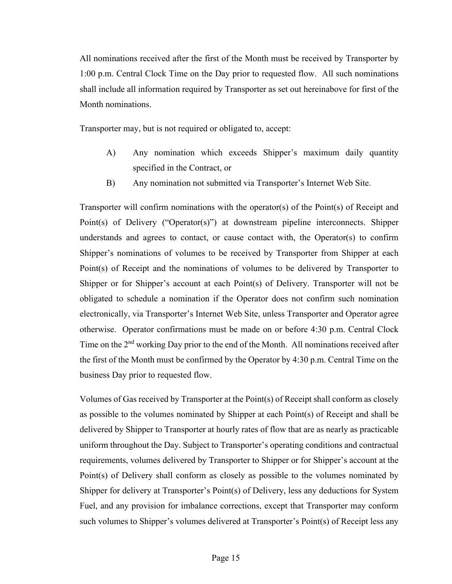All nominations received after the first of the Month must be received by Transporter by 1:00 p.m. Central Clock Time on the Day prior to requested flow. All such nominations shall include all information required by Transporter as set out hereinabove for first of the Month nominations.

Transporter may, but is not required or obligated to, accept:

- A) Any nomination which exceeds Shipper's maximum daily quantity specified in the Contract, or
- B) Any nomination not submitted via Transporter's Internet Web Site.

Transporter will confirm nominations with the operator(s) of the Point(s) of Receipt and Point(s) of Delivery ("Operator(s)") at downstream pipeline interconnects. Shipper understands and agrees to contact, or cause contact with, the Operator(s) to confirm Shipper's nominations of volumes to be received by Transporter from Shipper at each Point(s) of Receipt and the nominations of volumes to be delivered by Transporter to Shipper or for Shipper's account at each Point(s) of Delivery. Transporter will not be obligated to schedule a nomination if the Operator does not confirm such nomination electronically, via Transporter's Internet Web Site, unless Transporter and Operator agree otherwise. Operator confirmations must be made on or before 4:30 p.m. Central Clock Time on the 2<sup>nd</sup> working Day prior to the end of the Month. All nominations received after the first of the Month must be confirmed by the Operator by 4:30 p.m. Central Time on the business Day prior to requested flow.

Volumes of Gas received by Transporter at the Point(s) of Receipt shall conform as closely as possible to the volumes nominated by Shipper at each Point(s) of Receipt and shall be delivered by Shipper to Transporter at hourly rates of flow that are as nearly as practicable uniform throughout the Day. Subject to Transporter's operating conditions and contractual requirements, volumes delivered by Transporter to Shipper or for Shipper's account at the Point(s) of Delivery shall conform as closely as possible to the volumes nominated by Shipper for delivery at Transporter's Point(s) of Delivery, less any deductions for System Fuel, and any provision for imbalance corrections, except that Transporter may conform such volumes to Shipper's volumes delivered at Transporter's Point(s) of Receipt less any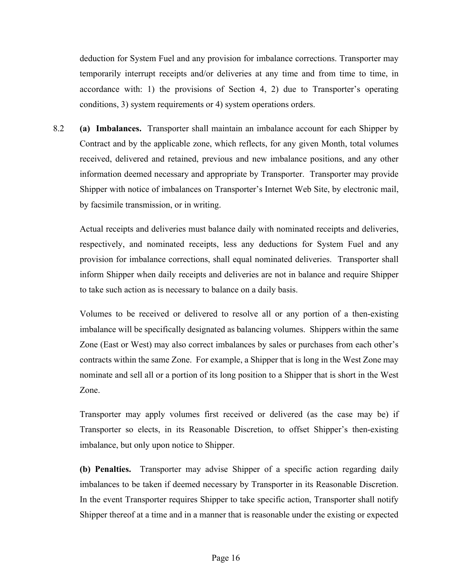deduction for System Fuel and any provision for imbalance corrections. Transporter may temporarily interrupt receipts and/or deliveries at any time and from time to time, in accordance with: 1) the provisions of Section 4, 2) due to Transporter's operating conditions, 3) system requirements or 4) system operations orders.

8.2 **(a) Imbalances.** Transporter shall maintain an imbalance account for each Shipper by Contract and by the applicable zone, which reflects, for any given Month, total volumes received, delivered and retained, previous and new imbalance positions, and any other information deemed necessary and appropriate by Transporter. Transporter may provide Shipper with notice of imbalances on Transporter's Internet Web Site, by electronic mail, by facsimile transmission, or in writing.

Actual receipts and deliveries must balance daily with nominated receipts and deliveries, respectively, and nominated receipts, less any deductions for System Fuel and any provision for imbalance corrections, shall equal nominated deliveries. Transporter shall inform Shipper when daily receipts and deliveries are not in balance and require Shipper to take such action as is necessary to balance on a daily basis.

Volumes to be received or delivered to resolve all or any portion of a then-existing imbalance will be specifically designated as balancing volumes. Shippers within the same Zone (East or West) may also correct imbalances by sales or purchases from each other's contracts within the same Zone. For example, a Shipper that is long in the West Zone may nominate and sell all or a portion of its long position to a Shipper that is short in the West Zone.

Transporter may apply volumes first received or delivered (as the case may be) if Transporter so elects, in its Reasonable Discretion, to offset Shipper's then-existing imbalance, but only upon notice to Shipper.

**(b) Penalties.** Transporter may advise Shipper of a specific action regarding daily imbalances to be taken if deemed necessary by Transporter in its Reasonable Discretion. In the event Transporter requires Shipper to take specific action, Transporter shall notify Shipper thereof at a time and in a manner that is reasonable under the existing or expected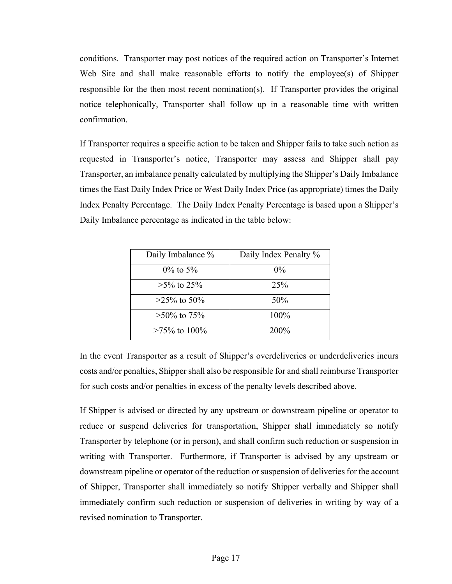conditions. Transporter may post notices of the required action on Transporter's Internet Web Site and shall make reasonable efforts to notify the employee(s) of Shipper responsible for the then most recent nomination(s). If Transporter provides the original notice telephonically, Transporter shall follow up in a reasonable time with written confirmation.

If Transporter requires a specific action to be taken and Shipper fails to take such action as requested in Transporter's notice, Transporter may assess and Shipper shall pay Transporter, an imbalance penalty calculated by multiplying the Shipper's Daily Imbalance times the East Daily Index Price or West Daily Index Price (as appropriate) times the Daily Index Penalty Percentage. The Daily Index Penalty Percentage is based upon a Shipper's Daily Imbalance percentage as indicated in the table below:

| Daily Imbalance % | Daily Index Penalty % |
|-------------------|-----------------------|
| $0\%$ to 5%       | $0\%$                 |
| $>5\%$ to 25%     | 25%                   |
| $>25\%$ to 50%    | 50%                   |
| $>50\%$ to 75%    | 100%                  |
| $>75\%$ to 100\%  | 200\%                 |

In the event Transporter as a result of Shipper's overdeliveries or underdeliveries incurs costs and/or penalties, Shipper shall also be responsible for and shall reimburse Transporter for such costs and/or penalties in excess of the penalty levels described above.

If Shipper is advised or directed by any upstream or downstream pipeline or operator to reduce or suspend deliveries for transportation, Shipper shall immediately so notify Transporter by telephone (or in person), and shall confirm such reduction or suspension in writing with Transporter. Furthermore, if Transporter is advised by any upstream or downstream pipeline or operator of the reduction or suspension of deliveries for the account of Shipper, Transporter shall immediately so notify Shipper verbally and Shipper shall immediately confirm such reduction or suspension of deliveries in writing by way of a revised nomination to Transporter.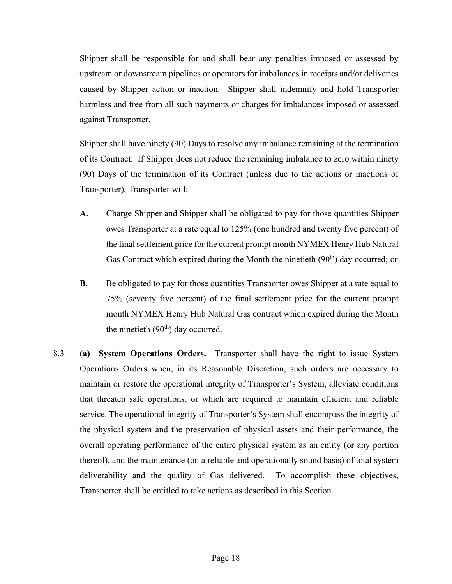Shipper shall be responsible for and shall bear any penalties imposed or assessed by upstream or downstream pipelines or operators for imbalances in receipts and/or deliveries caused by Shipper action or inaction. Shipper shall indemnify and hold Transporter harmless and free from all such payments or charges for imbalances imposed or assessed against Transporter.

Shipper shall have ninety (90) Days to resolve any imbalance remaining at the termination of its Contract. If Shipper does not reduce the remaining imbalance to zero within ninety (90) Days of the termination of its Contract (unless due to the actions or inactions of Transporter), Transporter will:

- **A.** Charge Shipper and Shipper shall be obligated to pay for those quantities Shipper owes Transporter at a rate equal to 125% (one hundred and twenty five percent) of the final settlement price for the current prompt month NYMEX Henry Hub Natural Gas Contract which expired during the Month the ninetieth  $(90<sup>th</sup>)$  day occurred; or
- **B.** Be obligated to pay for those quantities Transporter owes Shipper at a rate equal to 75% (seventy five percent) of the final settlement price for the current prompt month NYMEX Henry Hub Natural Gas contract which expired during the Month the ninetieth  $(90<sup>th</sup>)$  day occurred.
- 8.3 **(a) System Operations Orders.** Transporter shall have the right to issue System Operations Orders when, in its Reasonable Discretion, such orders are necessary to maintain or restore the operational integrity of Transporter's System, alleviate conditions that threaten safe operations, or which are required to maintain efficient and reliable service. The operational integrity of Transporter's System shall encompass the integrity of the physical system and the preservation of physical assets and their performance, the overall operating performance of the entire physical system as an entity (or any portion thereof), and the maintenance (on a reliable and operationally sound basis) of total system deliverability and the quality of Gas delivered. To accomplish these objectives, Transporter shall be entitled to take actions as described in this Section.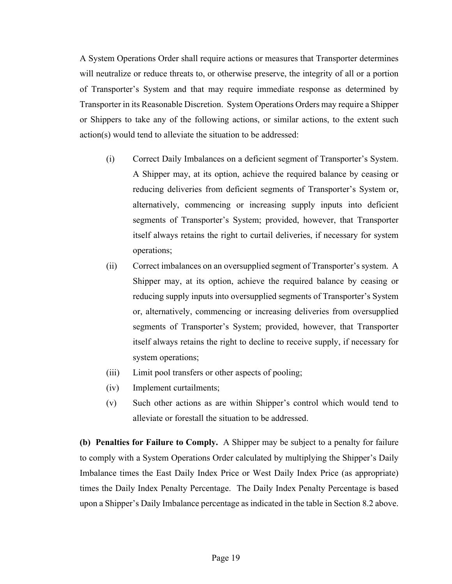A System Operations Order shall require actions or measures that Transporter determines will neutralize or reduce threats to, or otherwise preserve, the integrity of all or a portion of Transporter's System and that may require immediate response as determined by Transporter in its Reasonable Discretion. System Operations Orders may require a Shipper or Shippers to take any of the following actions, or similar actions, to the extent such action(s) would tend to alleviate the situation to be addressed:

- (i) Correct Daily Imbalances on a deficient segment of Transporter's System. A Shipper may, at its option, achieve the required balance by ceasing or reducing deliveries from deficient segments of Transporter's System or, alternatively, commencing or increasing supply inputs into deficient segments of Transporter's System; provided, however, that Transporter itself always retains the right to curtail deliveries, if necessary for system operations;
- (ii) Correct imbalances on an oversupplied segment of Transporter's system. A Shipper may, at its option, achieve the required balance by ceasing or reducing supply inputs into oversupplied segments of Transporter's System or, alternatively, commencing or increasing deliveries from oversupplied segments of Transporter's System; provided, however, that Transporter itself always retains the right to decline to receive supply, if necessary for system operations;
- (iii) Limit pool transfers or other aspects of pooling;
- (iv) Implement curtailments;
- (v) Such other actions as are within Shipper's control which would tend to alleviate or forestall the situation to be addressed.

**(b) Penalties for Failure to Comply.** A Shipper may be subject to a penalty for failure to comply with a System Operations Order calculated by multiplying the Shipper's Daily Imbalance times the East Daily Index Price or West Daily Index Price (as appropriate) times the Daily Index Penalty Percentage. The Daily Index Penalty Percentage is based upon a Shipper's Daily Imbalance percentage as indicated in the table in Section 8.2 above.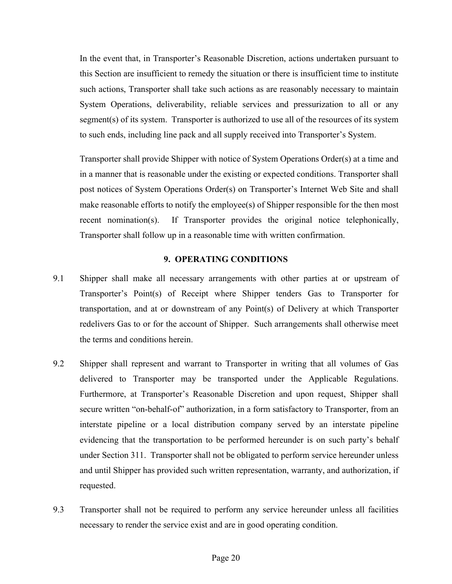In the event that, in Transporter's Reasonable Discretion, actions undertaken pursuant to this Section are insufficient to remedy the situation or there is insufficient time to institute such actions, Transporter shall take such actions as are reasonably necessary to maintain System Operations, deliverability, reliable services and pressurization to all or any segment(s) of its system. Transporter is authorized to use all of the resources of its system to such ends, including line pack and all supply received into Transporter's System.

Transporter shall provide Shipper with notice of System Operations Order(s) at a time and in a manner that is reasonable under the existing or expected conditions. Transporter shall post notices of System Operations Order(s) on Transporter's Internet Web Site and shall make reasonable efforts to notify the employee(s) of Shipper responsible for the then most recent nomination(s). If Transporter provides the original notice telephonically, Transporter shall follow up in a reasonable time with written confirmation.

#### **9. OPERATING CONDITIONS**

- 9.1 Shipper shall make all necessary arrangements with other parties at or upstream of Transporter's Point(s) of Receipt where Shipper tenders Gas to Transporter for transportation, and at or downstream of any Point(s) of Delivery at which Transporter redelivers Gas to or for the account of Shipper. Such arrangements shall otherwise meet the terms and conditions herein.
- 9.2 Shipper shall represent and warrant to Transporter in writing that all volumes of Gas delivered to Transporter may be transported under the Applicable Regulations. Furthermore, at Transporter's Reasonable Discretion and upon request, Shipper shall secure written "on-behalf-of" authorization, in a form satisfactory to Transporter, from an interstate pipeline or a local distribution company served by an interstate pipeline evidencing that the transportation to be performed hereunder is on such party's behalf under Section 311. Transporter shall not be obligated to perform service hereunder unless and until Shipper has provided such written representation, warranty, and authorization, if requested.
- 9.3 Transporter shall not be required to perform any service hereunder unless all facilities necessary to render the service exist and are in good operating condition.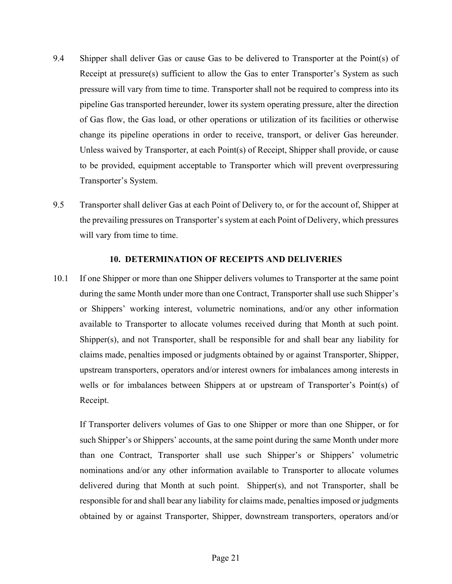- 9.4 Shipper shall deliver Gas or cause Gas to be delivered to Transporter at the Point(s) of Receipt at pressure(s) sufficient to allow the Gas to enter Transporter's System as such pressure will vary from time to time. Transporter shall not be required to compress into its pipeline Gas transported hereunder, lower its system operating pressure, alter the direction of Gas flow, the Gas load, or other operations or utilization of its facilities or otherwise change its pipeline operations in order to receive, transport, or deliver Gas hereunder. Unless waived by Transporter, at each Point(s) of Receipt, Shipper shall provide, or cause to be provided, equipment acceptable to Transporter which will prevent overpressuring Transporter's System.
- 9.5 Transporter shall deliver Gas at each Point of Delivery to, or for the account of, Shipper at the prevailing pressures on Transporter's system at each Point of Delivery, which pressures will vary from time to time.

#### **10. DETERMINATION OF RECEIPTS AND DELIVERIES**

10.1 If one Shipper or more than one Shipper delivers volumes to Transporter at the same point during the same Month under more than one Contract, Transporter shall use such Shipper's or Shippers' working interest, volumetric nominations, and/or any other information available to Transporter to allocate volumes received during that Month at such point. Shipper(s), and not Transporter, shall be responsible for and shall bear any liability for claims made, penalties imposed or judgments obtained by or against Transporter, Shipper, upstream transporters, operators and/or interest owners for imbalances among interests in wells or for imbalances between Shippers at or upstream of Transporter's Point(s) of Receipt.

If Transporter delivers volumes of Gas to one Shipper or more than one Shipper, or for such Shipper's or Shippers' accounts, at the same point during the same Month under more than one Contract, Transporter shall use such Shipper's or Shippers' volumetric nominations and/or any other information available to Transporter to allocate volumes delivered during that Month at such point. Shipper(s), and not Transporter, shall be responsible for and shall bear any liability for claims made, penalties imposed or judgments obtained by or against Transporter, Shipper, downstream transporters, operators and/or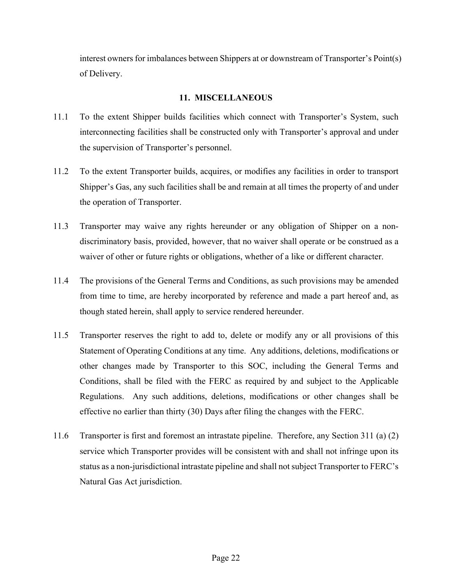interest owners for imbalances between Shippers at or downstream of Transporter's Point(s) of Delivery.

#### **11. MISCELLANEOUS**

- 11.1 To the extent Shipper builds facilities which connect with Transporter's System, such interconnecting facilities shall be constructed only with Transporter's approval and under the supervision of Transporter's personnel.
- 11.2 To the extent Transporter builds, acquires, or modifies any facilities in order to transport Shipper's Gas, any such facilities shall be and remain at all times the property of and under the operation of Transporter.
- 11.3 Transporter may waive any rights hereunder or any obligation of Shipper on a nondiscriminatory basis, provided, however, that no waiver shall operate or be construed as a waiver of other or future rights or obligations, whether of a like or different character.
- 11.4 The provisions of the General Terms and Conditions, as such provisions may be amended from time to time, are hereby incorporated by reference and made a part hereof and, as though stated herein, shall apply to service rendered hereunder.
- 11.5 Transporter reserves the right to add to, delete or modify any or all provisions of this Statement of Operating Conditions at any time. Any additions, deletions, modifications or other changes made by Transporter to this SOC, including the General Terms and Conditions, shall be filed with the FERC as required by and subject to the Applicable Regulations. Any such additions, deletions, modifications or other changes shall be effective no earlier than thirty (30) Days after filing the changes with the FERC.
- 11.6 Transporter is first and foremost an intrastate pipeline. Therefore, any Section 311 (a) (2) service which Transporter provides will be consistent with and shall not infringe upon its status as a non-jurisdictional intrastate pipeline and shall not subject Transporter to FERC's Natural Gas Act jurisdiction.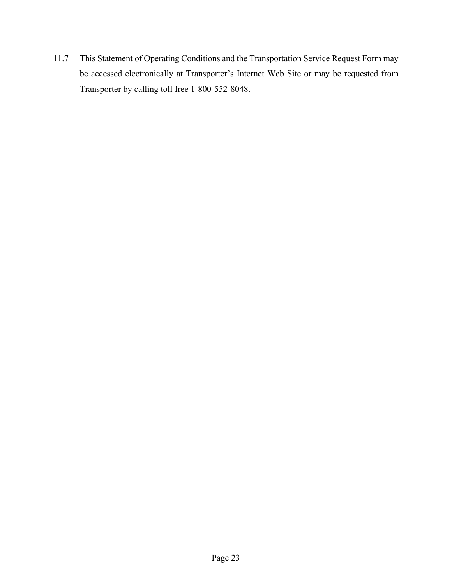11.7 This Statement of Operating Conditions and the Transportation Service Request Form may be accessed electronically at Transporter's Internet Web Site or may be requested from Transporter by calling toll free 1-800-552-8048.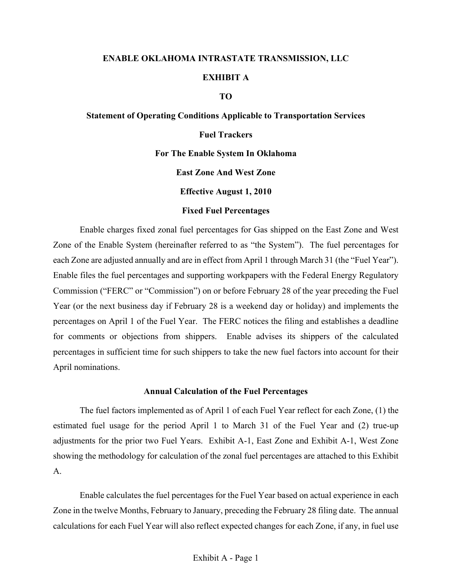## **ENABLE OKLAHOMA INTRASTATE TRANSMISSION, LLC EXHIBIT A**

#### **TO**

# **Statement of Operating Conditions Applicable to Transportation Services Fuel Trackers For The Enable System In Oklahoma East Zone And West Zone Effective August 1, 2010 Fixed Fuel Percentages**

Enable charges fixed zonal fuel percentages for Gas shipped on the East Zone and West Zone of the Enable System (hereinafter referred to as "the System"). The fuel percentages for each Zone are adjusted annually and are in effect from April 1 through March 31 (the "Fuel Year"). Enable files the fuel percentages and supporting workpapers with the Federal Energy Regulatory Commission ("FERC" or "Commission") on or before February 28 of the year preceding the Fuel Year (or the next business day if February 28 is a weekend day or holiday) and implements the percentages on April 1 of the Fuel Year. The FERC notices the filing and establishes a deadline for comments or objections from shippers. Enable advises its shippers of the calculated percentages in sufficient time for such shippers to take the new fuel factors into account for their April nominations.

#### **Annual Calculation of the Fuel Percentages**

The fuel factors implemented as of April 1 of each Fuel Year reflect for each Zone, (1) the estimated fuel usage for the period April 1 to March 31 of the Fuel Year and (2) true-up adjustments for the prior two Fuel Years. Exhibit A-1, East Zone and Exhibit A-1, West Zone showing the methodology for calculation of the zonal fuel percentages are attached to this Exhibit A.

Enable calculates the fuel percentages for the Fuel Year based on actual experience in each Zone in the twelve Months, February to January, preceding the February 28 filing date. The annual calculations for each Fuel Year will also reflect expected changes for each Zone, if any, in fuel use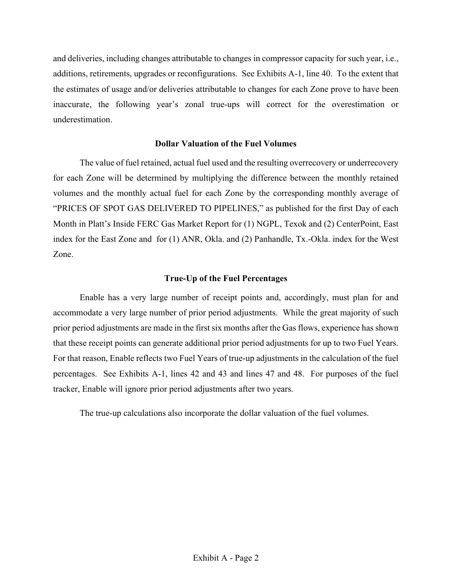and deliveries, including changes attributable to changes in compressor capacity for such year, i.e., additions, retirements, upgrades or reconfigurations. See Exhibits A-1, line 40. To the extent that the estimates of usage and/or deliveries attributable to changes for each Zone prove to have been inaccurate, the following year's zonal true-ups will correct for the overestimation or underestimation.

#### **Dollar Valuation of the Fuel Volumes**

The value of fuel retained, actual fuel used and the resulting overrecovery or underrecovery for each Zone will be determined by multiplying the difference between the monthly retained volumes and the monthly actual fuel for each Zone by the corresponding monthly average of "PRICES OF SPOT GAS DELIVERED TO PIPELINES," as published for the first Day of each Month in Platt's Inside FERC Gas Market Report for (1) NGPL, Texok and (2) CenterPoint, East index for the East Zone and for (1) ANR, Okla. and (2) Panhandle, Tx.-Okla. index for the West Zone.

#### **True-Up of the Fuel Percentages**

Enable has a very large number of receipt points and, accordingly, must plan for and accommodate a very large number of prior period adjustments. While the great majority of such prior period adjustments are made in the first six months after the Gas flows, experience has shown that these receipt points can generate additional prior period adjustments for up to two Fuel Years. For that reason, Enable reflects two Fuel Years of true-up adjustments in the calculation of the fuel percentages. See Exhibits A-1, lines 42 and 43 and lines 47 and 48. For purposes of the fuel tracker, Enable will ignore prior period adjustments after two years.

The true-up calculations also incorporate the dollar valuation of the fuel volumes.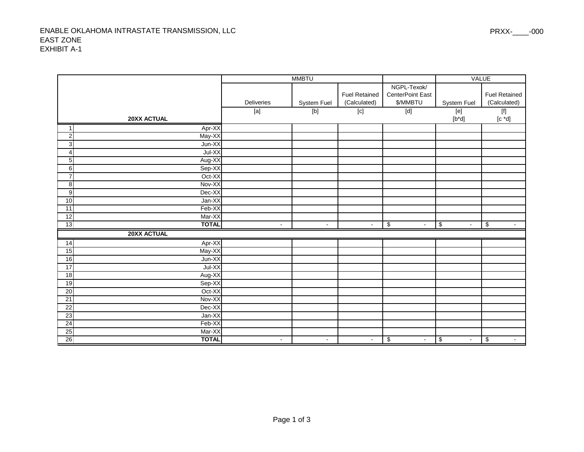#### ENABLE OKLAHOMA INTRASTATE TRANSMISSION, LLC EAST ZONEEXHIBIT A-1

|                  |              |                | <b>MMBTU</b>          |                      |                      | <b>VALUE</b>         |                      |
|------------------|--------------|----------------|-----------------------|----------------------|----------------------|----------------------|----------------------|
|                  |              |                |                       |                      | NGPL-Texok/          |                      |                      |
|                  |              |                |                       | <b>Fuel Retained</b> | CenterPoint East     |                      | <b>Fuel Retained</b> |
|                  |              | Deliveries     | System Fuel           | (Calculated)         | \$/MMBTU             | System Fuel          | (Calculated)         |
|                  |              | $[{\sf a}]$    | $\boxed{\phantom{0}}$ | $\overline{[c]}$     | $\boxed{\text{[d]}}$ | [e]                  | $\boxed{\fbox{f}}$   |
|                  | 20XX ACTUAL  |                |                       |                      |                      | $[b^*d]$             | $[c * d]$            |
| $\mathbf{1}$     | Apr-XX       |                |                       |                      |                      |                      |                      |
| $\overline{2}$   | May-XX       |                |                       |                      |                      |                      |                      |
| 3                | Jun-XX       |                |                       |                      |                      |                      |                      |
| $\overline{4}$   | Jul-XX       |                |                       |                      |                      |                      |                      |
| $\sqrt{5}$       | Aug-XX       |                |                       |                      |                      |                      |                      |
| $\overline{6}$   | Sep-XX       |                |                       |                      |                      |                      |                      |
| $\overline{7}$   | Oct-XX       |                |                       |                      |                      |                      |                      |
| $\infty$         | Nov-XX       |                |                       |                      |                      |                      |                      |
| $\boldsymbol{9}$ | Dec-XX       |                |                       |                      |                      |                      |                      |
| 10               | Jan-XX       |                |                       |                      |                      |                      |                      |
| 11               | Feb-XX       |                |                       |                      |                      |                      |                      |
| $\overline{12}$  | Mar-XX       |                |                       |                      |                      |                      |                      |
| 13               | <b>TOTAL</b> | $\blacksquare$ | $\sim$                | $\mathbf{r}$         | \$<br>$\sim$         | \$                   | \$                   |
|                  | 20XX ACTUAL  |                |                       |                      |                      |                      |                      |
| 14               | Apr-XX       |                |                       |                      |                      |                      |                      |
| $\overline{15}$  | May-XX       |                |                       |                      |                      |                      |                      |
| $\frac{1}{6}$    | Jun-XX       |                |                       |                      |                      |                      |                      |
| 17               | $Jul-XX$     |                |                       |                      |                      |                      |                      |
| $\frac{1}{8}$    | Aug-XX       |                |                       |                      |                      |                      |                      |
| 19               | Sep-XX       |                |                       |                      |                      |                      |                      |
| 20               | Oct-XX       |                |                       |                      |                      |                      |                      |
| $\overline{21}$  | Nov-XX       |                |                       |                      |                      |                      |                      |
| $\overline{22}$  | Dec-XX       |                |                       |                      |                      |                      |                      |
| 23               | Jan-XX       |                |                       |                      |                      |                      |                      |
| $\overline{24}$  | Feb-XX       |                |                       |                      |                      |                      |                      |
| 25               | Mar-XX       |                |                       |                      |                      |                      |                      |
| 26               | <b>TOTAL</b> | $\sim$         | $\sim$                | $\blacksquare$       | \$<br>$\blacksquare$ | \$<br>$\blacksquare$ | \$<br>$\sim$         |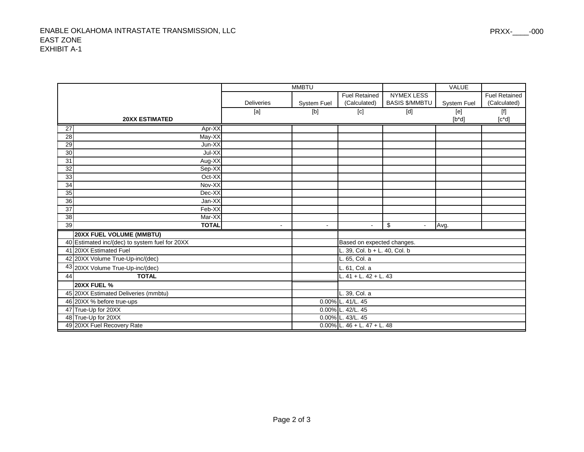|                 |                                                |                   | <b>MMBTU</b>       |                                  |                       | <b>VALUE</b>       |                        |
|-----------------|------------------------------------------------|-------------------|--------------------|----------------------------------|-----------------------|--------------------|------------------------|
|                 |                                                |                   |                    | <b>Fuel Retained</b>             | <b>NYMEX LESS</b>     |                    | <b>Fuel Retained</b>   |
|                 |                                                | <b>Deliveries</b> | <b>System Fuel</b> | (Calculated)                     | <b>BASIS \$/MMBTU</b> | <b>System Fuel</b> | (Calculated)           |
|                 |                                                | [a]               | [b]                | [c]                              | [d]                   | [e]                | $\boxed{\mathsf{[f]}}$ |
|                 | <b>20XX ESTIMATED</b>                          |                   |                    |                                  |                       | $[b^*d]$           | $[c^*d]$               |
| $\overline{27}$ | Apr-XX                                         |                   |                    |                                  |                       |                    |                        |
| 28              | May-XX                                         |                   |                    |                                  |                       |                    |                        |
| 29              | Jun-XX                                         |                   |                    |                                  |                       |                    |                        |
| 30              | Jul-XX                                         |                   |                    |                                  |                       |                    |                        |
| 31              | Aug-XX                                         |                   |                    |                                  |                       |                    |                        |
| $\overline{32}$ | Sep-XX                                         |                   |                    |                                  |                       |                    |                        |
| 33              | Oct-XX                                         |                   |                    |                                  |                       |                    |                        |
| 34              | Nov-XX                                         |                   |                    |                                  |                       |                    |                        |
| 35              | Dec-XX                                         |                   |                    |                                  |                       |                    |                        |
| 36              | Jan-XX                                         |                   |                    |                                  |                       |                    |                        |
| 37              | Feb-XX                                         |                   |                    |                                  |                       |                    |                        |
| 38              | Mar-XX                                         |                   |                    |                                  |                       |                    |                        |
| 39              | <b>TOTAL</b>                                   |                   | $\sim$             | $\blacksquare$                   | \$                    | Avg.               |                        |
|                 | <b>20XX FUEL VOLUME (MMBTU)</b>                |                   |                    |                                  |                       |                    |                        |
|                 | 40 Estimated inc/(dec) to system fuel for 20XX |                   |                    | Based on expected changes.       |                       |                    |                        |
|                 | 41 20XX Estimated Fuel                         |                   |                    | $-$ . 39, Col. b + L. 40, Col. b |                       |                    |                        |
|                 | 42 20XX Volume True-Up-inc/(dec)               |                   |                    | L. 65, Col. a                    |                       |                    |                        |
|                 | 43 20XX Volume True-Up-inc/(dec)               |                   |                    | L. 61, Col. a                    |                       |                    |                        |
| 44              | <b>TOTAL</b>                                   |                   |                    | L. 41 + L. 42 + L. 43            |                       |                    |                        |
|                 | 20XX FUEL %                                    |                   |                    |                                  |                       |                    |                        |
|                 | 45 20XX Estimated Deliveries (mmbtu)           |                   |                    | L. 39, Col. a                    |                       |                    |                        |
|                 | 46 20XX % before true-ups                      |                   |                    | 0.00% L. 41/L. 45                |                       |                    |                        |
|                 | 47 True-Up for 20XX                            |                   |                    | 0.00% L. 42/L. 45                |                       |                    |                        |
|                 | 48 True-Up for 20XX                            |                   |                    | 0.00% L. 43/L. 45                |                       |                    |                        |
|                 | 49 20XX Fuel Recovery Rate                     |                   |                    | $0.00\%$ L. 46 + L. 47 + L. 48   |                       |                    |                        |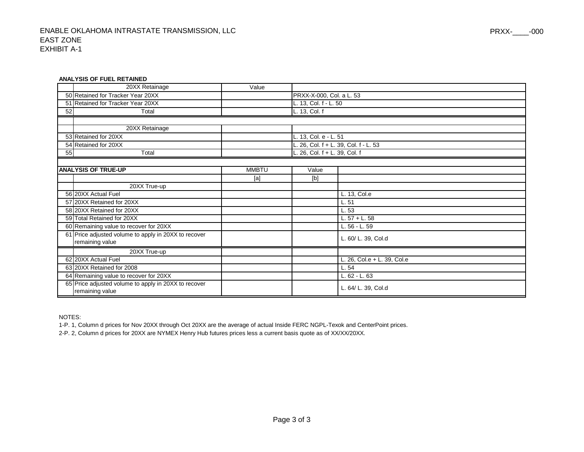#### **ANALYSIS OF FUEL RETAINED**

|    | 20XX Retainage                                                          | Value        |                               |                                    |  |
|----|-------------------------------------------------------------------------|--------------|-------------------------------|------------------------------------|--|
|    | 50 Retained for Tracker Year 20XX                                       |              | PRXX-X-000, Col. a L. 53      |                                    |  |
|    | 51 Retained for Tracker Year 20XX                                       |              | L. 13, Col. f - L. 50         |                                    |  |
| 52 | Total                                                                   |              | L. 13, Col. f                 |                                    |  |
|    |                                                                         |              |                               |                                    |  |
|    | 20XX Retainage                                                          |              |                               |                                    |  |
|    | 53 Retained for 20XX                                                    |              | L. 13, Col. e - L. 51         |                                    |  |
|    | 54 Retained for 20XX                                                    |              |                               | 26, Col. f + L. 39, Col. f - L. 53 |  |
| 55 | Total                                                                   |              | L. 26, Col. f + L. 39, Col. f |                                    |  |
|    |                                                                         |              |                               |                                    |  |
|    | <b>ANALYSIS OF TRUE-UP</b>                                              | <b>MMBTU</b> | Value                         |                                    |  |
|    |                                                                         | [a]          | [b]                           |                                    |  |
|    | 20XX True-up                                                            |              |                               |                                    |  |
|    | 56 20XX Actual Fuel                                                     |              |                               | L. 13, Col.e                       |  |
|    | 57 20XX Retained for 20XX                                               |              |                               | L.51                               |  |
|    | 58 20XX Retained for 20XX                                               |              |                               | L.53                               |  |
|    | 59 Total Retained for 20XX                                              |              |                               | L. $57 + L. 58$                    |  |
|    | 60 Remaining value to recover for 20XX                                  |              |                               | L. 56 - L. 59                      |  |
|    | 61 Price adjusted volume to apply in 20XX to recover                    |              |                               | L. 60/ L. 39, Col.d                |  |
|    | remaining value                                                         |              |                               |                                    |  |
|    | 20XX True-up                                                            |              |                               |                                    |  |
|    | 62 20XX Actual Fuel                                                     |              |                               | L. 26, Col.e + L. 39, Col.e        |  |
|    | 63 20XX Retained for 2008                                               |              |                               | L.54                               |  |
|    | 64 Remaining value to recover for 20XX                                  |              |                               | L. 62 - L. 63                      |  |
|    | 65 Price adjusted volume to apply in 20XX to recover<br>remaining value |              |                               | L. 64/ L. 39, Col.d                |  |

NOTES:

1-P. 1, Column d prices for Nov 20XX through Oct 20XX are the average of actual Inside FERC NGPL-Texok and CenterPoint prices.

2-P. 2, Column d prices for 20XX are NYMEX Henry Hub futures prices less a current basis quote as of XX/XX/20XX.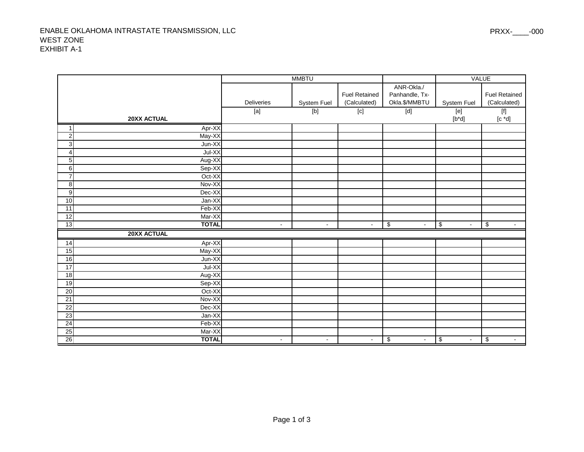#### ENABLE OKLAHOMA INTRASTATE TRANSMISSION, LLC WEST ZONEEXHIBIT A-1

|                                   |                          | <b>MMBTU</b>                  |                      |                      | <b>VALUE</b>                            |                                                             |
|-----------------------------------|--------------------------|-------------------------------|----------------------|----------------------|-----------------------------------------|-------------------------------------------------------------|
|                                   |                          |                               |                      | ANR-Okla./           |                                         |                                                             |
|                                   |                          |                               | <b>Fuel Retained</b> | Panhandle, Tx-       |                                         | <b>Fuel Retained</b>                                        |
|                                   | Deliveries               | System Fuel                   | (Calculated)         | Okla.\$/MMBTU        | System Fuel                             | (Calculated)                                                |
|                                   | $[{\sf a}]$              | $\boxed{\phantom{0}\text{b}}$ | $\boxed{\text{c}}$   | $\boxed{\text{d}}$   | [e]                                     | $\boxed{\mathsf{[f]}}$                                      |
| 20XX ACTUAL                       |                          |                               |                      |                      | $[b^*d]$                                | $\left[\begin{smallmatrix} c & *d \end{smallmatrix}\right]$ |
| Apr-XX<br>1                       |                          |                               |                      |                      |                                         |                                                             |
| $\overline{2}$<br>May-XX          |                          |                               |                      |                      |                                         |                                                             |
| ω<br>Jun-XX                       |                          |                               |                      |                      |                                         |                                                             |
| Jul-XX<br>$\overline{\mathbf{4}}$ |                          |                               |                      |                      |                                         |                                                             |
| 5<br>Aug-XX                       |                          |                               |                      |                      |                                         |                                                             |
| Sep-XX<br>$\,6$                   |                          |                               |                      |                      |                                         |                                                             |
| $\overline{7}$<br>Oct-XX          |                          |                               |                      |                      |                                         |                                                             |
| $\infty$<br>Nov-XX                |                          |                               |                      |                      |                                         |                                                             |
| $\overline{9}$<br>Dec-XX          |                          |                               |                      |                      |                                         |                                                             |
| 10<br>Jan-XX                      |                          |                               |                      |                      |                                         |                                                             |
| Feb-XX<br>$\overline{11}$         |                          |                               |                      |                      |                                         |                                                             |
| 12<br>Mar-XX                      |                          |                               |                      |                      |                                         |                                                             |
| <b>TOTAL</b><br> 13               | $\overline{\phantom{a}}$ | $\sim$                        | $\blacksquare$       | \$<br>$\blacksquare$ | \$                                      | \$                                                          |
| <b>20XX ACTUAL</b>                |                          |                               |                      |                      |                                         |                                                             |
| $Apr-XX$<br>14                    |                          |                               |                      |                      |                                         |                                                             |
| 15<br>May-XX                      |                          |                               |                      |                      |                                         |                                                             |
| $\frac{1}{6}$<br>Jun-XX           |                          |                               |                      |                      |                                         |                                                             |
| 17<br>Jul-XX                      |                          |                               |                      |                      |                                         |                                                             |
| 18<br>Aug-XX                      |                          |                               |                      |                      |                                         |                                                             |
| $\overline{19}$<br>Sep-XX         |                          |                               |                      |                      |                                         |                                                             |
| Oct-XX<br>20                      |                          |                               |                      |                      |                                         |                                                             |
| Nov-XX<br>$\overline{21}$         |                          |                               |                      |                      |                                         |                                                             |
| $\overline{22}$<br>Dec-XX         |                          |                               |                      |                      |                                         |                                                             |
| 23<br>Jan-XX                      |                          |                               |                      |                      |                                         |                                                             |
| 24<br>Feb-XX                      |                          |                               |                      |                      |                                         |                                                             |
| 25<br>Mar-XX                      |                          |                               |                      |                      |                                         |                                                             |
| 26<br><b>TOTAL</b>                | $\blacksquare$           | $\sim$                        | $\blacksquare$       | \$<br>$\blacksquare$ | $\boldsymbol{\theta}$<br>$\blacksquare$ | \$<br>$\sim$                                                |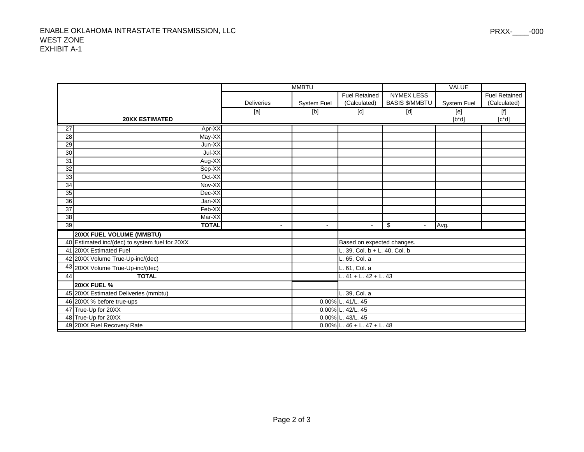|                 |                                                |                   | <b>MMBTU</b>       |                                |                                                                                                                                                                                                                                                                                                                                                                                                                                                                                                                               | <b>VALUE</b>       |                                                                                                                                                                                                                                                                                                                                                                                                                                                                                                                                                                                                                                                |
|-----------------|------------------------------------------------|-------------------|--------------------|--------------------------------|-------------------------------------------------------------------------------------------------------------------------------------------------------------------------------------------------------------------------------------------------------------------------------------------------------------------------------------------------------------------------------------------------------------------------------------------------------------------------------------------------------------------------------|--------------------|------------------------------------------------------------------------------------------------------------------------------------------------------------------------------------------------------------------------------------------------------------------------------------------------------------------------------------------------------------------------------------------------------------------------------------------------------------------------------------------------------------------------------------------------------------------------------------------------------------------------------------------------|
|                 |                                                |                   |                    | <b>Fuel Retained</b>           | <b>NYMEX LESS</b>                                                                                                                                                                                                                                                                                                                                                                                                                                                                                                             |                    | <b>Fuel Retained</b>                                                                                                                                                                                                                                                                                                                                                                                                                                                                                                                                                                                                                           |
|                 |                                                | <b>Deliveries</b> | <b>System Fuel</b> | (Calculated)                   | <b>BASIS \$/MMBTU</b>                                                                                                                                                                                                                                                                                                                                                                                                                                                                                                         | <b>System Fuel</b> | (Calculated)                                                                                                                                                                                                                                                                                                                                                                                                                                                                                                                                                                                                                                   |
|                 |                                                | [a]               | [b]                | $\overline{[c]}$               | $[d] % \begin{center} % \includegraphics[width=\linewidth]{imagesSupplemental_3.png} % \end{center} % \caption { % \textit{Def}_1 = \textit{Def}_2 \textit{Def}_3 \textit{Def}_4 \textit{Def}_5 \textit{Def}_6 \textit{Def}_7 \textit{Def}_7 \textit{Def}_7 \textit{Def}_7 \textit{Def}_8 \textit{Def}_7 \textit{Def}_9 \textit{Def}_9 \textit{Def}_9 \textit{Def}_9 \textit{Def}_9 \textit{Def}_9 \textit{Def}_9 \textit{Def}_9 \textit{Def}_9 \textit{Def}_9 \textit{Def}_9 \textit{Def}_9 \textit{Def}_9 \textit{Def}_9 \$ | [e]                | $[f] % \begin{center} % \includegraphics[width=\linewidth]{imagesSupplemental_3.png} % \end{center} % \caption { % Our method can be used for the proposed method. % Note that the \emph{exponent} and the \emph{exponent} is the \emph{exponent} and the \emph{exponent} is the \emph{exponent} and the \emph{exponent} is the \emph{exponent} and the \emph{exponent} is the \emph{exponent} and the \emph{exponent} is the \emph{exponent} and the \emph{exponent} is the \emph{exponent} and the \emph{exponent} is the \emph{exponent} and the \emph{exponent} is the \emph{exponent} and the \emph{exponent} is the \emph{exponent} and$ |
|                 | <b>20XX ESTIMATED</b>                          |                   |                    |                                |                                                                                                                                                                                                                                                                                                                                                                                                                                                                                                                               | $[b^*d]$           | $[c^*d]$                                                                                                                                                                                                                                                                                                                                                                                                                                                                                                                                                                                                                                       |
| $\overline{27}$ | Apr-XX                                         |                   |                    |                                |                                                                                                                                                                                                                                                                                                                                                                                                                                                                                                                               |                    |                                                                                                                                                                                                                                                                                                                                                                                                                                                                                                                                                                                                                                                |
| 28              | May-XX                                         |                   |                    |                                |                                                                                                                                                                                                                                                                                                                                                                                                                                                                                                                               |                    |                                                                                                                                                                                                                                                                                                                                                                                                                                                                                                                                                                                                                                                |
| 29              | Jun-XX                                         |                   |                    |                                |                                                                                                                                                                                                                                                                                                                                                                                                                                                                                                                               |                    |                                                                                                                                                                                                                                                                                                                                                                                                                                                                                                                                                                                                                                                |
| 30              | Jul-XX                                         |                   |                    |                                |                                                                                                                                                                                                                                                                                                                                                                                                                                                                                                                               |                    |                                                                                                                                                                                                                                                                                                                                                                                                                                                                                                                                                                                                                                                |
| 31              | Aug-XX                                         |                   |                    |                                |                                                                                                                                                                                                                                                                                                                                                                                                                                                                                                                               |                    |                                                                                                                                                                                                                                                                                                                                                                                                                                                                                                                                                                                                                                                |
| $\overline{32}$ | Sep-XX                                         |                   |                    |                                |                                                                                                                                                                                                                                                                                                                                                                                                                                                                                                                               |                    |                                                                                                                                                                                                                                                                                                                                                                                                                                                                                                                                                                                                                                                |
| 33              | Oct-XX                                         |                   |                    |                                |                                                                                                                                                                                                                                                                                                                                                                                                                                                                                                                               |                    |                                                                                                                                                                                                                                                                                                                                                                                                                                                                                                                                                                                                                                                |
| 34              | Nov-XX                                         |                   |                    |                                |                                                                                                                                                                                                                                                                                                                                                                                                                                                                                                                               |                    |                                                                                                                                                                                                                                                                                                                                                                                                                                                                                                                                                                                                                                                |
| 35              | Dec-XX                                         |                   |                    |                                |                                                                                                                                                                                                                                                                                                                                                                                                                                                                                                                               |                    |                                                                                                                                                                                                                                                                                                                                                                                                                                                                                                                                                                                                                                                |
| 36              | Jan-XX                                         |                   |                    |                                |                                                                                                                                                                                                                                                                                                                                                                                                                                                                                                                               |                    |                                                                                                                                                                                                                                                                                                                                                                                                                                                                                                                                                                                                                                                |
| 37              | Feb-XX                                         |                   |                    |                                |                                                                                                                                                                                                                                                                                                                                                                                                                                                                                                                               |                    |                                                                                                                                                                                                                                                                                                                                                                                                                                                                                                                                                                                                                                                |
| 38              | Mar-XX                                         |                   |                    |                                |                                                                                                                                                                                                                                                                                                                                                                                                                                                                                                                               |                    |                                                                                                                                                                                                                                                                                                                                                                                                                                                                                                                                                                                                                                                |
| 39              | <b>TOTAL</b>                                   |                   | $\blacksquare$     | $\blacksquare$                 | \$                                                                                                                                                                                                                                                                                                                                                                                                                                                                                                                            | Avg.               |                                                                                                                                                                                                                                                                                                                                                                                                                                                                                                                                                                                                                                                |
|                 | <b>20XX FUEL VOLUME (MMBTU)</b>                |                   |                    |                                |                                                                                                                                                                                                                                                                                                                                                                                                                                                                                                                               |                    |                                                                                                                                                                                                                                                                                                                                                                                                                                                                                                                                                                                                                                                |
|                 | 40 Estimated inc/(dec) to system fuel for 20XX |                   |                    | Based on expected changes.     |                                                                                                                                                                                                                                                                                                                                                                                                                                                                                                                               |                    |                                                                                                                                                                                                                                                                                                                                                                                                                                                                                                                                                                                                                                                |
|                 | 41 20XX Estimated Fuel                         |                   |                    | $.39,$ Col. b + L. 40, Col. b  |                                                                                                                                                                                                                                                                                                                                                                                                                                                                                                                               |                    |                                                                                                                                                                                                                                                                                                                                                                                                                                                                                                                                                                                                                                                |
|                 | 42 20XX Volume True-Up-inc/(dec)               |                   |                    | L. 65, Col. a                  |                                                                                                                                                                                                                                                                                                                                                                                                                                                                                                                               |                    |                                                                                                                                                                                                                                                                                                                                                                                                                                                                                                                                                                                                                                                |
|                 | 43 20XX Volume True-Up-inc/(dec)               |                   |                    | L. 61, Col. a                  |                                                                                                                                                                                                                                                                                                                                                                                                                                                                                                                               |                    |                                                                                                                                                                                                                                                                                                                                                                                                                                                                                                                                                                                                                                                |
| 44              | <b>TOTAL</b>                                   |                   |                    | L. $41 + L$ . $42 + L$ . $43$  |                                                                                                                                                                                                                                                                                                                                                                                                                                                                                                                               |                    |                                                                                                                                                                                                                                                                                                                                                                                                                                                                                                                                                                                                                                                |
|                 | 20XX FUEL %                                    |                   |                    |                                |                                                                                                                                                                                                                                                                                                                                                                                                                                                                                                                               |                    |                                                                                                                                                                                                                                                                                                                                                                                                                                                                                                                                                                                                                                                |
|                 | 45 20XX Estimated Deliveries (mmbtu)           |                   |                    | L. 39, Col. a                  |                                                                                                                                                                                                                                                                                                                                                                                                                                                                                                                               |                    |                                                                                                                                                                                                                                                                                                                                                                                                                                                                                                                                                                                                                                                |
|                 | 46 20XX % before true-ups                      |                   |                    | 0.00% L. 41/L. 45              |                                                                                                                                                                                                                                                                                                                                                                                                                                                                                                                               |                    |                                                                                                                                                                                                                                                                                                                                                                                                                                                                                                                                                                                                                                                |
|                 | 47 True-Up for 20XX                            |                   |                    | 0.00% L. 42/L. 45              |                                                                                                                                                                                                                                                                                                                                                                                                                                                                                                                               |                    |                                                                                                                                                                                                                                                                                                                                                                                                                                                                                                                                                                                                                                                |
|                 | 48 True-Up for 20XX                            |                   |                    | 0.00% L. 43/L. 45              |                                                                                                                                                                                                                                                                                                                                                                                                                                                                                                                               |                    |                                                                                                                                                                                                                                                                                                                                                                                                                                                                                                                                                                                                                                                |
|                 | 49 20XX Fuel Recovery Rate                     |                   |                    | $0.00\%$ L. 46 + L. 47 + L. 48 |                                                                                                                                                                                                                                                                                                                                                                                                                                                                                                                               |                    |                                                                                                                                                                                                                                                                                                                                                                                                                                                                                                                                                                                                                                                |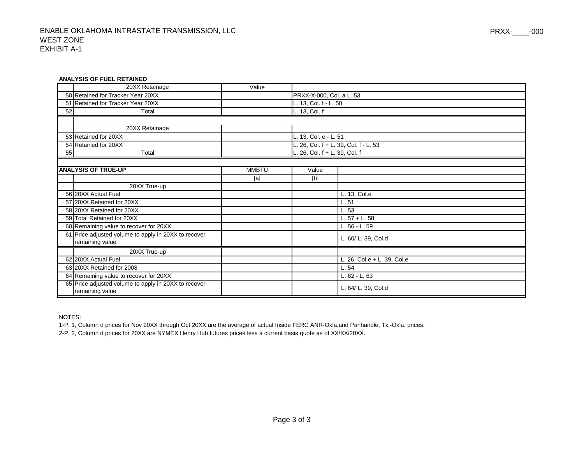#### **ANALYSIS OF FUEL RETAINED**

|    | 20XX Retainage                                                          | Value        |                               |                                    |
|----|-------------------------------------------------------------------------|--------------|-------------------------------|------------------------------------|
|    | 50 Retained for Tracker Year 20XX                                       |              | PRXX-X-000, Col. a L. 53      |                                    |
|    | 51 Retained for Tracker Year 20XX                                       |              | L. 13, Col. f - L. 50         |                                    |
| 52 | Total                                                                   |              | L. 13, Col. f                 |                                    |
|    |                                                                         |              |                               |                                    |
|    | 20XX Retainage                                                          |              |                               |                                    |
|    | 53 Retained for 20XX                                                    |              | L. 13, Col. e - L. 51         |                                    |
|    | 54 Retained for 20XX                                                    |              |                               | 26, Col. f + L. 39, Col. f - L. 53 |
| 55 | Total                                                                   |              | L. 26, Col. f + L. 39, Col. f |                                    |
|    |                                                                         |              |                               |                                    |
|    | <b>ANALYSIS OF TRUE-UP</b>                                              | <b>MMBTU</b> | Value                         |                                    |
|    |                                                                         | [a]          | [b]                           |                                    |
|    | 20XX True-up                                                            |              |                               |                                    |
|    | 56 20XX Actual Fuel                                                     |              |                               | L. 13, Col.e                       |
|    | 57 20XX Retained for 20XX                                               |              |                               | L.51                               |
|    | 58 20XX Retained for 20XX                                               |              |                               | L.53                               |
|    | 59 Total Retained for 20XX                                              |              |                               | $L.57 + L.58$                      |
|    | 60 Remaining value to recover for 20XX                                  |              |                               | L. 56 - L. 59                      |
|    | 61 Price adjusted volume to apply in 20XX to recover                    |              |                               | L. 60/ L. 39, Col.d                |
|    | remaining value                                                         |              |                               |                                    |
|    | 20XX True-up                                                            |              |                               |                                    |
|    | 62 20XX Actual Fuel                                                     |              |                               | L. 26, Col.e + L. 39, Col.e        |
|    | 63 20XX Retained for 2008                                               |              |                               | L.54                               |
|    | 64 Remaining value to recover for 20XX                                  |              |                               | L. 62 - L. 63                      |
|    | 65 Price adjusted volume to apply in 20XX to recover<br>remaining value |              |                               | L. 64/ L. 39, Col.d                |

NOTES:

1-P. 1, Column d prices for Nov 20XX through Oct 20XX are the average of actual Inside FERC ANR-Okla.and Panhandle, Tx.-Okla. prices.

2-P. 2, Column d prices for 20XX are NYMEX Henry Hub futures prices less a current basis quote as of XX/XX/20XX.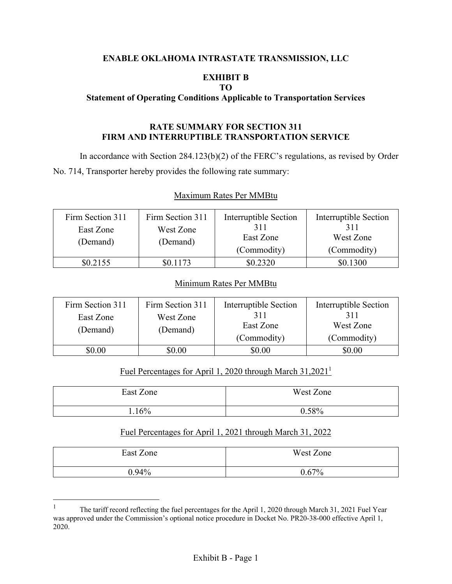#### **ENABLE OKLAHOMA INTRASTATE TRANSMISSION, LLC**

### **EXHIBIT B**

#### **TO**

#### **Statement of Operating Conditions Applicable to Transportation Services**

#### **RATE SUMMARY FOR SECTION 311 FIRM AND INTERRUPTIBLE TRANSPORTATION SERVICE**

In accordance with Section 284.123(b)(2) of the FERC's regulations, as revised by Order No. 714, Transporter hereby provides the following rate summary:

#### Maximum Rates Per MMBtu

| Firm Section 311<br>East Zone<br>(Demand) | Firm Section 311<br>West Zone<br>(Demand) | Interruptible Section<br>311<br>East Zone<br>(Commodity) | Interruptible Section<br>311<br>West Zone<br>(Commodity) |
|-------------------------------------------|-------------------------------------------|----------------------------------------------------------|----------------------------------------------------------|
| \$0.2155                                  | \$0.1173                                  | \$0.2320                                                 | \$0.1300                                                 |

#### Minimum Rates Per MMBtu

| Firm Section 311<br>East Zone<br>(Demand) | Firm Section 311<br>West Zone<br>(Demand) | Interruptible Section<br>311<br>East Zone<br>(Commodity) | Interruptible Section<br>311<br>West Zone<br>(Commodity) |
|-------------------------------------------|-------------------------------------------|----------------------------------------------------------|----------------------------------------------------------|
| $\$0.00$                                  | 0.00                                      | \$0.00                                                   | \$0.00                                                   |

#### Fuel Percentages for April 1, 2020 through March 31,20211

| East Zone | West Zone |
|-----------|-----------|
| .16%      | 0.58%     |

#### Fuel Percentages for April 1, 2021 through March 31, 2022

| East Zone | West Zone |
|-----------|-----------|
| $9.94\%$  | 0.67%     |

<sup>1</sup> The tariff record reflecting the fuel percentages for the April 1, 2020 through March 31, 2021 Fuel Year was approved under the Commission's optional notice procedure in Docket No. PR20-38-000 effective April 1, 2020.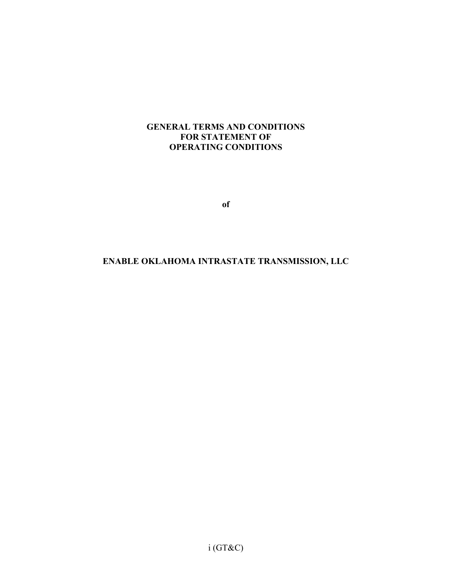#### **GENERAL TERMS AND CONDITIONS FOR STATEMENT OF OPERATING CONDITIONS**

**of** 

## **ENABLE OKLAHOMA INTRASTATE TRANSMISSION, LLC**

i (GT&C)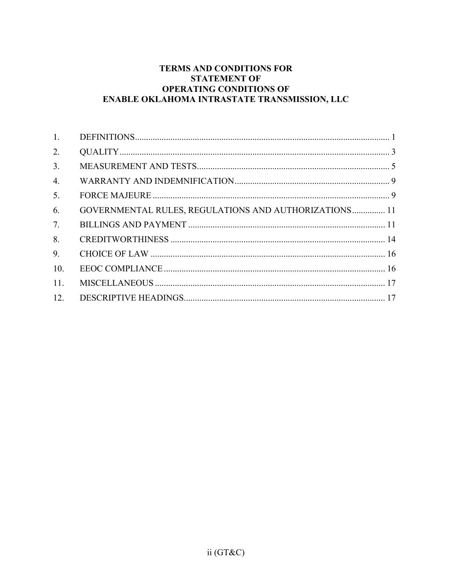### TERMS AND CONDITIONS FOR **STATEMENT OF OPERATING CONDITIONS OF** ENABLE OKLAHOMA INTRASTATE TRANSMISSION, LLC

| 1.  |                                                              |  |
|-----|--------------------------------------------------------------|--|
| 2.  |                                                              |  |
| 3.  |                                                              |  |
| 4.  |                                                              |  |
| 5.  |                                                              |  |
| 6.  | <b>GOVERNMENTAL RULES, REGULATIONS AND AUTHORIZATIONS 11</b> |  |
| 7.  |                                                              |  |
| 8.  |                                                              |  |
| 9.  |                                                              |  |
| 10. |                                                              |  |
| 11. |                                                              |  |
| 12. |                                                              |  |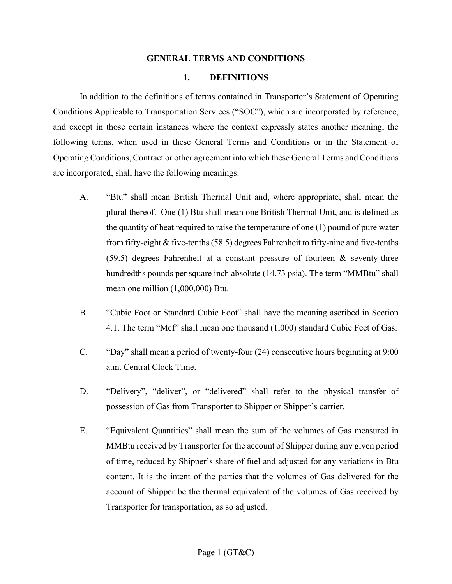#### **GENERAL TERMS AND CONDITIONS**

#### **1. DEFINITIONS**

In addition to the definitions of terms contained in Transporter's Statement of Operating Conditions Applicable to Transportation Services ("SOC"), which are incorporated by reference, and except in those certain instances where the context expressly states another meaning, the following terms, when used in these General Terms and Conditions or in the Statement of Operating Conditions, Contract or other agreement into which these General Terms and Conditions are incorporated, shall have the following meanings:

- A. "Btu" shall mean British Thermal Unit and, where appropriate, shall mean the plural thereof. One (1) Btu shall mean one British Thermal Unit, and is defined as the quantity of heat required to raise the temperature of one (1) pound of pure water from fifty-eight & five-tenths (58.5) degrees Fahrenheit to fifty-nine and five-tenths  $(59.5)$  degrees Fahrenheit at a constant pressure of fourteen & seventy-three hundredths pounds per square inch absolute (14.73 psia). The term "MMBtu" shall mean one million (1,000,000) Btu.
- B. "Cubic Foot or Standard Cubic Foot" shall have the meaning ascribed in Section 4.1. The term "Mcf" shall mean one thousand (1,000) standard Cubic Feet of Gas.
- C. "Day" shall mean a period of twenty-four (24) consecutive hours beginning at 9:00 a.m. Central Clock Time.
- D. "Delivery", "deliver", or "delivered" shall refer to the physical transfer of possession of Gas from Transporter to Shipper or Shipper's carrier.
- E. "Equivalent Quantities" shall mean the sum of the volumes of Gas measured in MMBtu received by Transporter for the account of Shipper during any given period of time, reduced by Shipper's share of fuel and adjusted for any variations in Btu content. It is the intent of the parties that the volumes of Gas delivered for the account of Shipper be the thermal equivalent of the volumes of Gas received by Transporter for transportation, as so adjusted.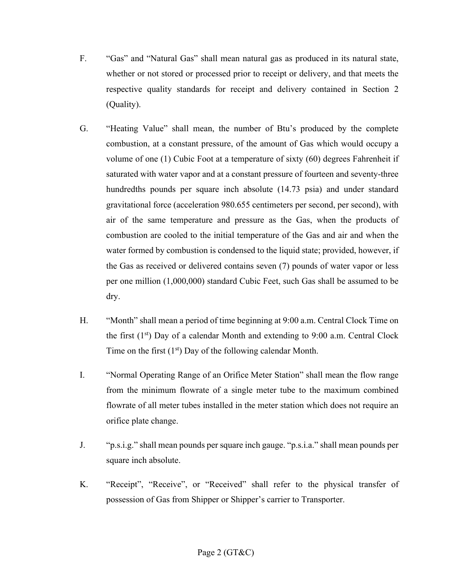- F. "Gas" and "Natural Gas" shall mean natural gas as produced in its natural state, whether or not stored or processed prior to receipt or delivery, and that meets the respective quality standards for receipt and delivery contained in Section 2 (Quality).
- G. "Heating Value" shall mean, the number of Btu's produced by the complete combustion, at a constant pressure, of the amount of Gas which would occupy a volume of one (1) Cubic Foot at a temperature of sixty (60) degrees Fahrenheit if saturated with water vapor and at a constant pressure of fourteen and seventy-three hundredths pounds per square inch absolute (14.73 psia) and under standard gravitational force (acceleration 980.655 centimeters per second, per second), with air of the same temperature and pressure as the Gas, when the products of combustion are cooled to the initial temperature of the Gas and air and when the water formed by combustion is condensed to the liquid state; provided, however, if the Gas as received or delivered contains seven (7) pounds of water vapor or less per one million (1,000,000) standard Cubic Feet, such Gas shall be assumed to be dry.
- H. "Month" shall mean a period of time beginning at 9:00 a.m. Central Clock Time on the first  $(1<sup>st</sup>)$  Day of a calendar Month and extending to 9:00 a.m. Central Clock Time on the first  $(1<sup>st</sup>)$  Day of the following calendar Month.
- I. "Normal Operating Range of an Orifice Meter Station" shall mean the flow range from the minimum flowrate of a single meter tube to the maximum combined flowrate of all meter tubes installed in the meter station which does not require an orifice plate change.
- J. "p.s.i.g." shall mean pounds per square inch gauge. "p.s.i.a." shall mean pounds per square inch absolute.
- K. "Receipt", "Receive", or "Received" shall refer to the physical transfer of possession of Gas from Shipper or Shipper's carrier to Transporter.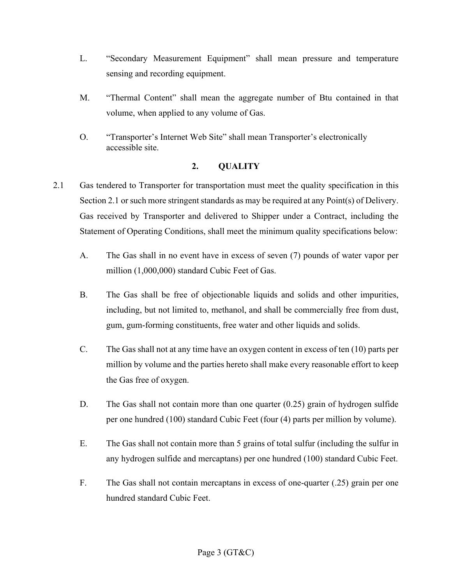- L. "Secondary Measurement Equipment" shall mean pressure and temperature sensing and recording equipment.
- M. "Thermal Content" shall mean the aggregate number of Btu contained in that volume, when applied to any volume of Gas.
- O. "Transporter's Internet Web Site" shall mean Transporter's electronically accessible site.

### **2. QUALITY**

- 2.1 Gas tendered to Transporter for transportation must meet the quality specification in this Section 2.1 or such more stringent standards as may be required at any Point(s) of Delivery. Gas received by Transporter and delivered to Shipper under a Contract, including the Statement of Operating Conditions, shall meet the minimum quality specifications below:
	- A. The Gas shall in no event have in excess of seven (7) pounds of water vapor per million (1,000,000) standard Cubic Feet of Gas.
	- B. The Gas shall be free of objectionable liquids and solids and other impurities, including, but not limited to, methanol, and shall be commercially free from dust, gum, gum-forming constituents, free water and other liquids and solids.
	- C. The Gas shall not at any time have an oxygen content in excess of ten (10) parts per million by volume and the parties hereto shall make every reasonable effort to keep the Gas free of oxygen.
	- D. The Gas shall not contain more than one quarter (0.25) grain of hydrogen sulfide per one hundred (100) standard Cubic Feet (four (4) parts per million by volume).
	- E. The Gas shall not contain more than 5 grains of total sulfur (including the sulfur in any hydrogen sulfide and mercaptans) per one hundred (100) standard Cubic Feet.
	- F. The Gas shall not contain mercaptans in excess of one-quarter (.25) grain per one hundred standard Cubic Feet.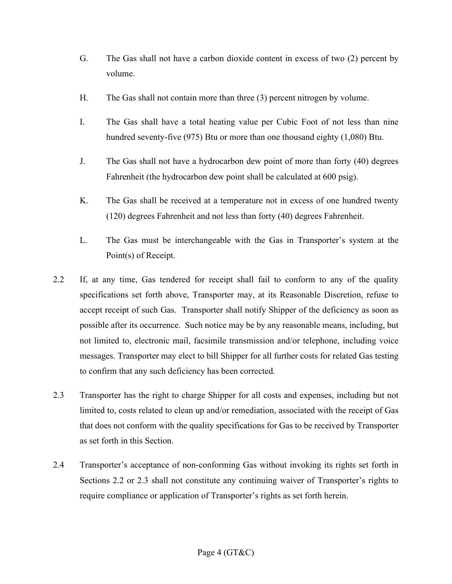- G. The Gas shall not have a carbon dioxide content in excess of two (2) percent by volume.
- H. The Gas shall not contain more than three (3) percent nitrogen by volume.
- I. The Gas shall have a total heating value per Cubic Foot of not less than nine hundred seventy-five (975) Btu or more than one thousand eighty (1,080) Btu.
- J. The Gas shall not have a hydrocarbon dew point of more than forty (40) degrees Fahrenheit (the hydrocarbon dew point shall be calculated at 600 psig).
- K. The Gas shall be received at a temperature not in excess of one hundred twenty (120) degrees Fahrenheit and not less than forty (40) degrees Fahrenheit.
- L. The Gas must be interchangeable with the Gas in Transporter's system at the Point(s) of Receipt.
- 2.2 If, at any time, Gas tendered for receipt shall fail to conform to any of the quality specifications set forth above, Transporter may, at its Reasonable Discretion, refuse to accept receipt of such Gas. Transporter shall notify Shipper of the deficiency as soon as possible after its occurrence. Such notice may be by any reasonable means, including, but not limited to, electronic mail, facsimile transmission and/or telephone, including voice messages. Transporter may elect to bill Shipper for all further costs for related Gas testing to confirm that any such deficiency has been corrected.
- 2.3 Transporter has the right to charge Shipper for all costs and expenses, including but not limited to, costs related to clean up and/or remediation, associated with the receipt of Gas that does not conform with the quality specifications for Gas to be received by Transporter as set forth in this Section.
- 2.4 Transporter's acceptance of non-conforming Gas without invoking its rights set forth in Sections 2.2 or 2.3 shall not constitute any continuing waiver of Transporter's rights to require compliance or application of Transporter's rights as set forth herein.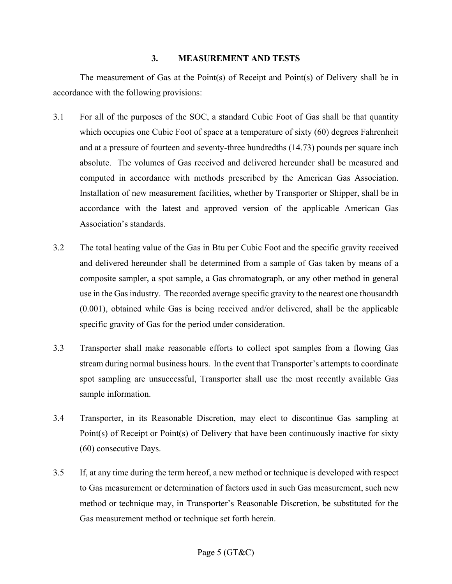#### **3. MEASUREMENT AND TESTS**

The measurement of Gas at the Point(s) of Receipt and Point(s) of Delivery shall be in accordance with the following provisions:

- 3.1 For all of the purposes of the SOC, a standard Cubic Foot of Gas shall be that quantity which occupies one Cubic Foot of space at a temperature of sixty (60) degrees Fahrenheit and at a pressure of fourteen and seventy-three hundredths (14.73) pounds per square inch absolute. The volumes of Gas received and delivered hereunder shall be measured and computed in accordance with methods prescribed by the American Gas Association. Installation of new measurement facilities, whether by Transporter or Shipper, shall be in accordance with the latest and approved version of the applicable American Gas Association's standards.
- 3.2 The total heating value of the Gas in Btu per Cubic Foot and the specific gravity received and delivered hereunder shall be determined from a sample of Gas taken by means of a composite sampler, a spot sample, a Gas chromatograph, or any other method in general use in the Gas industry. The recorded average specific gravity to the nearest one thousandth (0.001), obtained while Gas is being received and/or delivered, shall be the applicable specific gravity of Gas for the period under consideration.
- 3.3 Transporter shall make reasonable efforts to collect spot samples from a flowing Gas stream during normal business hours. In the event that Transporter's attempts to coordinate spot sampling are unsuccessful, Transporter shall use the most recently available Gas sample information.
- 3.4 Transporter, in its Reasonable Discretion, may elect to discontinue Gas sampling at Point(s) of Receipt or Point(s) of Delivery that have been continuously inactive for sixty (60) consecutive Days.
- 3.5 If, at any time during the term hereof, a new method or technique is developed with respect to Gas measurement or determination of factors used in such Gas measurement, such new method or technique may, in Transporter's Reasonable Discretion, be substituted for the Gas measurement method or technique set forth herein.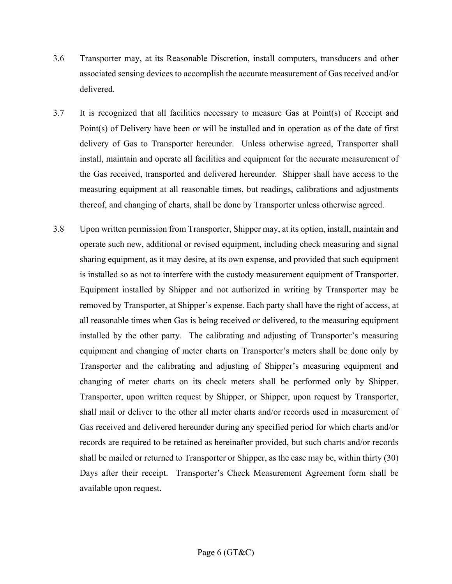- 3.6 Transporter may, at its Reasonable Discretion, install computers, transducers and other associated sensing devices to accomplish the accurate measurement of Gas received and/or delivered.
- 3.7 It is recognized that all facilities necessary to measure Gas at Point(s) of Receipt and Point(s) of Delivery have been or will be installed and in operation as of the date of first delivery of Gas to Transporter hereunder. Unless otherwise agreed, Transporter shall install, maintain and operate all facilities and equipment for the accurate measurement of the Gas received, transported and delivered hereunder. Shipper shall have access to the measuring equipment at all reasonable times, but readings, calibrations and adjustments thereof, and changing of charts, shall be done by Transporter unless otherwise agreed.
- 3.8 Upon written permission from Transporter, Shipper may, at its option, install, maintain and operate such new, additional or revised equipment, including check measuring and signal sharing equipment, as it may desire, at its own expense, and provided that such equipment is installed so as not to interfere with the custody measurement equipment of Transporter. Equipment installed by Shipper and not authorized in writing by Transporter may be removed by Transporter, at Shipper's expense. Each party shall have the right of access, at all reasonable times when Gas is being received or delivered, to the measuring equipment installed by the other party. The calibrating and adjusting of Transporter's measuring equipment and changing of meter charts on Transporter's meters shall be done only by Transporter and the calibrating and adjusting of Shipper's measuring equipment and changing of meter charts on its check meters shall be performed only by Shipper. Transporter, upon written request by Shipper, or Shipper, upon request by Transporter, shall mail or deliver to the other all meter charts and/or records used in measurement of Gas received and delivered hereunder during any specified period for which charts and/or records are required to be retained as hereinafter provided, but such charts and/or records shall be mailed or returned to Transporter or Shipper, as the case may be, within thirty (30) Days after their receipt. Transporter's Check Measurement Agreement form shall be available upon request.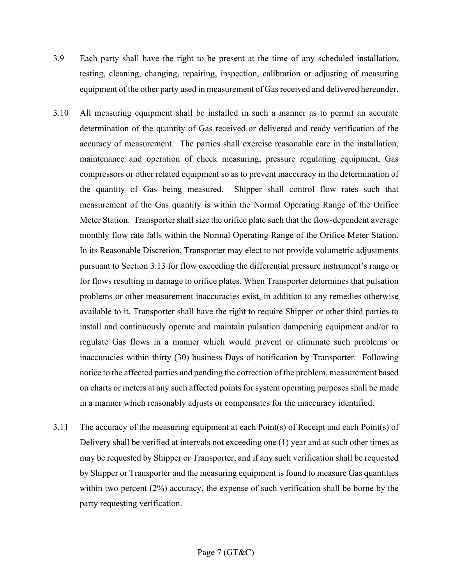- 3.9 Each party shall have the right to be present at the time of any scheduled installation, testing, cleaning, changing, repairing, inspection, calibration or adjusting of measuring equipment of the other party used in measurement of Gas received and delivered hereunder.
- 3.10 All measuring equipment shall be installed in such a manner as to permit an accurate determination of the quantity of Gas received or delivered and ready verification of the accuracy of measurement. The parties shall exercise reasonable care in the installation, maintenance and operation of check measuring, pressure regulating equipment, Gas compressors or other related equipment so as to prevent inaccuracy in the determination of the quantity of Gas being measured. Shipper shall control flow rates such that measurement of the Gas quantity is within the Normal Operating Range of the Orifice Meter Station. Transporter shall size the orifice plate such that the flow-dependent average monthly flow rate falls within the Normal Operating Range of the Orifice Meter Station. In its Reasonable Discretion, Transporter may elect to not provide volumetric adjustments pursuant to Section 3.13 for flow exceeding the differential pressure instrument's range or for flows resulting in damage to orifice plates. When Transporter determines that pulsation problems or other measurement inaccuracies exist, in addition to any remedies otherwise available to it, Transporter shall have the right to require Shipper or other third parties to install and continuously operate and maintain pulsation dampening equipment and/or to regulate Gas flows in a manner which would prevent or eliminate such problems or inaccuracies within thirty (30) business Days of notification by Transporter. Following notice to the affected parties and pending the correction of the problem, measurement based on charts or meters at any such affected points for system operating purposes shall be made in a manner which reasonably adjusts or compensates for the inaccuracy identified.
- 3.11 The accuracy of the measuring equipment at each Point(s) of Receipt and each Point(s) of Delivery shall be verified at intervals not exceeding one (1) year and at such other times as may be requested by Shipper or Transporter, and if any such verification shall be requested by Shipper or Transporter and the measuring equipment is found to measure Gas quantities within two percent (2%) accuracy, the expense of such verification shall be borne by the party requesting verification.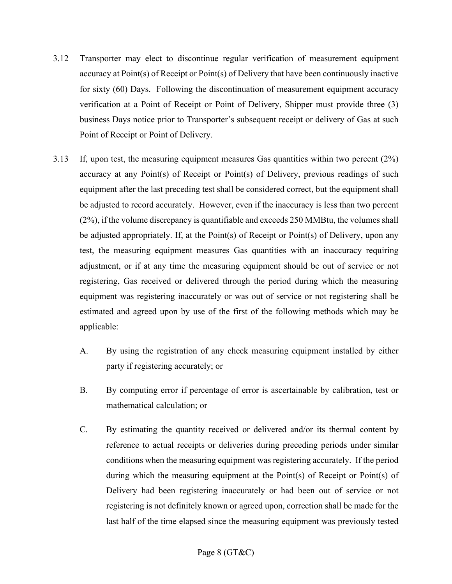- 3.12 Transporter may elect to discontinue regular verification of measurement equipment accuracy at Point(s) of Receipt or Point(s) of Delivery that have been continuously inactive for sixty (60) Days. Following the discontinuation of measurement equipment accuracy verification at a Point of Receipt or Point of Delivery, Shipper must provide three (3) business Days notice prior to Transporter's subsequent receipt or delivery of Gas at such Point of Receipt or Point of Delivery.
- 3.13 If, upon test, the measuring equipment measures Gas quantities within two percent (2%) accuracy at any Point(s) of Receipt or Point(s) of Delivery, previous readings of such equipment after the last preceding test shall be considered correct, but the equipment shall be adjusted to record accurately. However, even if the inaccuracy is less than two percent (2%), if the volume discrepancy is quantifiable and exceeds 250 MMBtu, the volumes shall be adjusted appropriately. If, at the Point(s) of Receipt or Point(s) of Delivery, upon any test, the measuring equipment measures Gas quantities with an inaccuracy requiring adjustment, or if at any time the measuring equipment should be out of service or not registering, Gas received or delivered through the period during which the measuring equipment was registering inaccurately or was out of service or not registering shall be estimated and agreed upon by use of the first of the following methods which may be applicable:
	- A. By using the registration of any check measuring equipment installed by either party if registering accurately; or
	- B. By computing error if percentage of error is ascertainable by calibration, test or mathematical calculation; or
	- C. By estimating the quantity received or delivered and/or its thermal content by reference to actual receipts or deliveries during preceding periods under similar conditions when the measuring equipment was registering accurately. If the period during which the measuring equipment at the Point(s) of Receipt or Point(s) of Delivery had been registering inaccurately or had been out of service or not registering is not definitely known or agreed upon, correction shall be made for the last half of the time elapsed since the measuring equipment was previously tested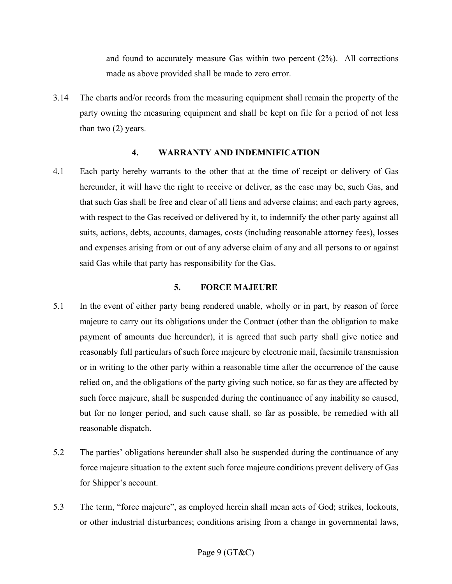and found to accurately measure Gas within two percent (2%). All corrections made as above provided shall be made to zero error.

3.14 The charts and/or records from the measuring equipment shall remain the property of the party owning the measuring equipment and shall be kept on file for a period of not less than two (2) years.

#### **4. WARRANTY AND INDEMNIFICATION**

4.1 Each party hereby warrants to the other that at the time of receipt or delivery of Gas hereunder, it will have the right to receive or deliver, as the case may be, such Gas, and that such Gas shall be free and clear of all liens and adverse claims; and each party agrees, with respect to the Gas received or delivered by it, to indemnify the other party against all suits, actions, debts, accounts, damages, costs (including reasonable attorney fees), losses and expenses arising from or out of any adverse claim of any and all persons to or against said Gas while that party has responsibility for the Gas.

#### **5. FORCE MAJEURE**

- 5.1 In the event of either party being rendered unable, wholly or in part, by reason of force majeure to carry out its obligations under the Contract (other than the obligation to make payment of amounts due hereunder), it is agreed that such party shall give notice and reasonably full particulars of such force majeure by electronic mail, facsimile transmission or in writing to the other party within a reasonable time after the occurrence of the cause relied on, and the obligations of the party giving such notice, so far as they are affected by such force majeure, shall be suspended during the continuance of any inability so caused, but for no longer period, and such cause shall, so far as possible, be remedied with all reasonable dispatch.
- 5.2 The parties' obligations hereunder shall also be suspended during the continuance of any force majeure situation to the extent such force majeure conditions prevent delivery of Gas for Shipper's account.
- 5.3 The term, "force majeure", as employed herein shall mean acts of God; strikes, lockouts, or other industrial disturbances; conditions arising from a change in governmental laws,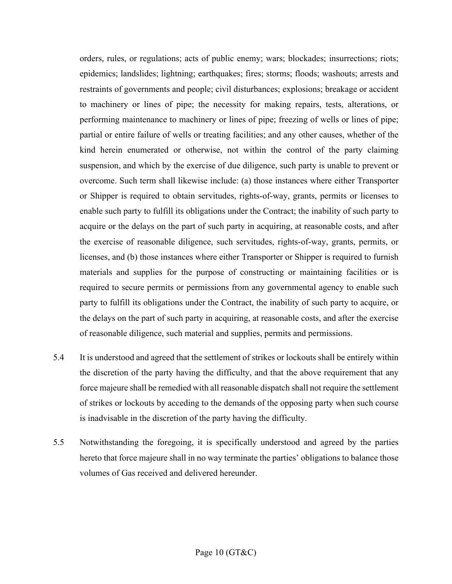orders, rules, or regulations; acts of public enemy; wars; blockades; insurrections; riots; epidemics; landslides; lightning; earthquakes; fires; storms; floods; washouts; arrests and restraints of governments and people; civil disturbances; explosions; breakage or accident to machinery or lines of pipe; the necessity for making repairs, tests, alterations, or performing maintenance to machinery or lines of pipe; freezing of wells or lines of pipe; partial or entire failure of wells or treating facilities; and any other causes, whether of the kind herein enumerated or otherwise, not within the control of the party claiming suspension, and which by the exercise of due diligence, such party is unable to prevent or overcome. Such term shall likewise include: (a) those instances where either Transporter or Shipper is required to obtain servitudes, rights-of-way, grants, permits or licenses to enable such party to fulfill its obligations under the Contract; the inability of such party to acquire or the delays on the part of such party in acquiring, at reasonable costs, and after the exercise of reasonable diligence, such servitudes, rights-of-way, grants, permits, or licenses, and (b) those instances where either Transporter or Shipper is required to furnish materials and supplies for the purpose of constructing or maintaining facilities or is required to secure permits or permissions from any governmental agency to enable such party to fulfill its obligations under the Contract, the inability of such party to acquire, or the delays on the part of such party in acquiring, at reasonable costs, and after the exercise of reasonable diligence, such material and supplies, permits and permissions.

- 5.4 It is understood and agreed that the settlement of strikes or lockouts shall be entirely within the discretion of the party having the difficulty, and that the above requirement that any force majeure shall be remedied with all reasonable dispatch shall not require the settlement of strikes or lockouts by acceding to the demands of the opposing party when such course is inadvisable in the discretion of the party having the difficulty.
- 5.5 Notwithstanding the foregoing, it is specifically understood and agreed by the parties hereto that force majeure shall in no way terminate the parties' obligations to balance those volumes of Gas received and delivered hereunder.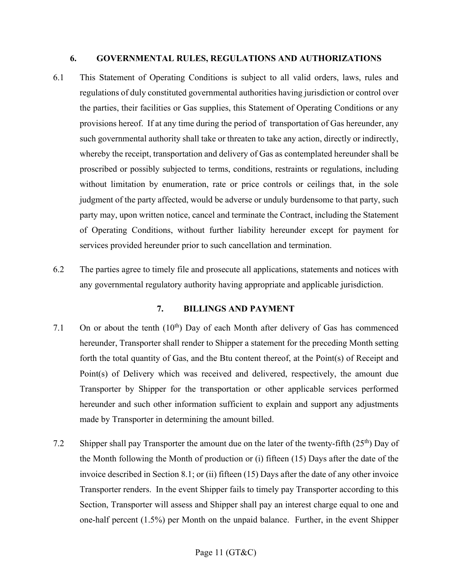#### **6. GOVERNMENTAL RULES, REGULATIONS AND AUTHORIZATIONS**

- 6.1 This Statement of Operating Conditions is subject to all valid orders, laws, rules and regulations of duly constituted governmental authorities having jurisdiction or control over the parties, their facilities or Gas supplies, this Statement of Operating Conditions or any provisions hereof. If at any time during the period of transportation of Gas hereunder, any such governmental authority shall take or threaten to take any action, directly or indirectly, whereby the receipt, transportation and delivery of Gas as contemplated hereunder shall be proscribed or possibly subjected to terms, conditions, restraints or regulations, including without limitation by enumeration, rate or price controls or ceilings that, in the sole judgment of the party affected, would be adverse or unduly burdensome to that party, such party may, upon written notice, cancel and terminate the Contract, including the Statement of Operating Conditions, without further liability hereunder except for payment for services provided hereunder prior to such cancellation and termination.
- 6.2 The parties agree to timely file and prosecute all applications, statements and notices with any governmental regulatory authority having appropriate and applicable jurisdiction.

#### **7. BILLINGS AND PAYMENT**

- 7.1 On or about the tenth  $(10<sup>th</sup>)$  Day of each Month after delivery of Gas has commenced hereunder, Transporter shall render to Shipper a statement for the preceding Month setting forth the total quantity of Gas, and the Btu content thereof, at the Point(s) of Receipt and Point(s) of Delivery which was received and delivered, respectively, the amount due Transporter by Shipper for the transportation or other applicable services performed hereunder and such other information sufficient to explain and support any adjustments made by Transporter in determining the amount billed.
- 7.2 Shipper shall pay Transporter the amount due on the later of the twenty-fifth  $(25<sup>th</sup>)$  Day of the Month following the Month of production or (i) fifteen (15) Days after the date of the invoice described in Section 8.1; or (ii) fifteen (15) Days after the date of any other invoice Transporter renders. In the event Shipper fails to timely pay Transporter according to this Section, Transporter will assess and Shipper shall pay an interest charge equal to one and one-half percent (1.5%) per Month on the unpaid balance. Further, in the event Shipper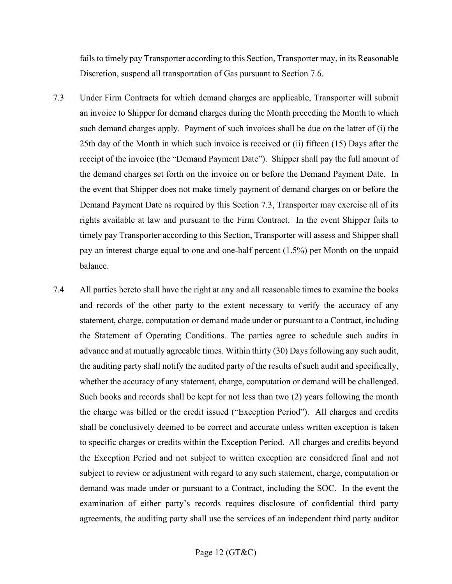fails to timely pay Transporter according to this Section, Transporter may, in its Reasonable Discretion, suspend all transportation of Gas pursuant to Section 7.6.

- 7.3 Under Firm Contracts for which demand charges are applicable, Transporter will submit an invoice to Shipper for demand charges during the Month preceding the Month to which such demand charges apply. Payment of such invoices shall be due on the latter of (i) the 25th day of the Month in which such invoice is received or (ii) fifteen (15) Days after the receipt of the invoice (the "Demand Payment Date"). Shipper shall pay the full amount of the demand charges set forth on the invoice on or before the Demand Payment Date. In the event that Shipper does not make timely payment of demand charges on or before the Demand Payment Date as required by this Section 7.3, Transporter may exercise all of its rights available at law and pursuant to the Firm Contract. In the event Shipper fails to timely pay Transporter according to this Section, Transporter will assess and Shipper shall pay an interest charge equal to one and one-half percent (1.5%) per Month on the unpaid balance.
- 7.4 All parties hereto shall have the right at any and all reasonable times to examine the books and records of the other party to the extent necessary to verify the accuracy of any statement, charge, computation or demand made under or pursuant to a Contract, including the Statement of Operating Conditions. The parties agree to schedule such audits in advance and at mutually agreeable times. Within thirty (30) Days following any such audit, the auditing party shall notify the audited party of the results of such audit and specifically, whether the accuracy of any statement, charge, computation or demand will be challenged. Such books and records shall be kept for not less than two (2) years following the month the charge was billed or the credit issued ("Exception Period"). All charges and credits shall be conclusively deemed to be correct and accurate unless written exception is taken to specific charges or credits within the Exception Period. All charges and credits beyond the Exception Period and not subject to written exception are considered final and not subject to review or adjustment with regard to any such statement, charge, computation or demand was made under or pursuant to a Contract, including the SOC. In the event the examination of either party's records requires disclosure of confidential third party agreements, the auditing party shall use the services of an independent third party auditor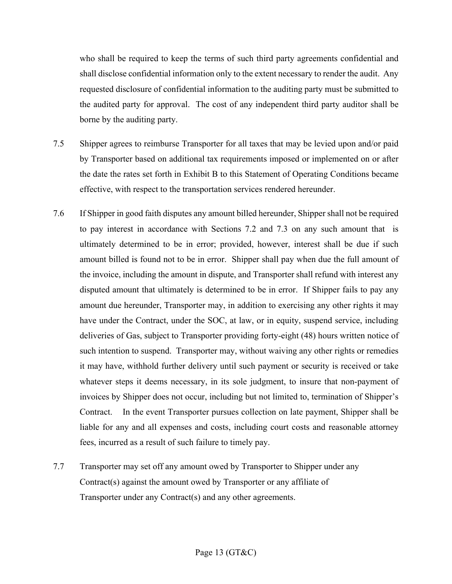who shall be required to keep the terms of such third party agreements confidential and shall disclose confidential information only to the extent necessary to render the audit. Any requested disclosure of confidential information to the auditing party must be submitted to the audited party for approval. The cost of any independent third party auditor shall be borne by the auditing party.

- 7.5 Shipper agrees to reimburse Transporter for all taxes that may be levied upon and/or paid by Transporter based on additional tax requirements imposed or implemented on or after the date the rates set forth in Exhibit B to this Statement of Operating Conditions became effective, with respect to the transportation services rendered hereunder.
- 7.6 If Shipper in good faith disputes any amount billed hereunder, Shipper shall not be required to pay interest in accordance with Sections 7.2 and 7.3 on any such amount that is ultimately determined to be in error; provided, however, interest shall be due if such amount billed is found not to be in error. Shipper shall pay when due the full amount of the invoice, including the amount in dispute, and Transporter shall refund with interest any disputed amount that ultimately is determined to be in error. If Shipper fails to pay any amount due hereunder, Transporter may, in addition to exercising any other rights it may have under the Contract, under the SOC, at law, or in equity, suspend service, including deliveries of Gas, subject to Transporter providing forty-eight (48) hours written notice of such intention to suspend. Transporter may, without waiving any other rights or remedies it may have, withhold further delivery until such payment or security is received or take whatever steps it deems necessary, in its sole judgment, to insure that non-payment of invoices by Shipper does not occur, including but not limited to, termination of Shipper's Contract. In the event Transporter pursues collection on late payment, Shipper shall be liable for any and all expenses and costs, including court costs and reasonable attorney fees, incurred as a result of such failure to timely pay.
- 7.7 Transporter may set off any amount owed by Transporter to Shipper under any Contract(s) against the amount owed by Transporter or any affiliate of Transporter under any Contract(s) and any other agreements.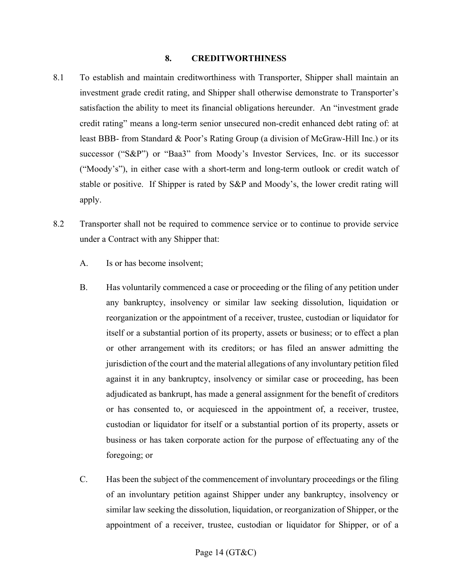#### **8. CREDITWORTHINESS**

- 8.1 To establish and maintain creditworthiness with Transporter, Shipper shall maintain an investment grade credit rating, and Shipper shall otherwise demonstrate to Transporter's satisfaction the ability to meet its financial obligations hereunder. An "investment grade credit rating" means a long-term senior unsecured non-credit enhanced debt rating of: at least BBB- from Standard & Poor's Rating Group (a division of McGraw-Hill Inc.) or its successor ("S&P") or "Baa3" from Moody's Investor Services, Inc. or its successor ("Moody's"), in either case with a short-term and long-term outlook or credit watch of stable or positive. If Shipper is rated by S&P and Moody's, the lower credit rating will apply.
- 8.2 Transporter shall not be required to commence service or to continue to provide service under a Contract with any Shipper that:
	- A. Is or has become insolvent;
	- B. Has voluntarily commenced a case or proceeding or the filing of any petition under any bankruptcy, insolvency or similar law seeking dissolution, liquidation or reorganization or the appointment of a receiver, trustee, custodian or liquidator for itself or a substantial portion of its property, assets or business; or to effect a plan or other arrangement with its creditors; or has filed an answer admitting the jurisdiction of the court and the material allegations of any involuntary petition filed against it in any bankruptcy, insolvency or similar case or proceeding, has been adjudicated as bankrupt, has made a general assignment for the benefit of creditors or has consented to, or acquiesced in the appointment of, a receiver, trustee, custodian or liquidator for itself or a substantial portion of its property, assets or business or has taken corporate action for the purpose of effectuating any of the foregoing; or
	- C. Has been the subject of the commencement of involuntary proceedings or the filing of an involuntary petition against Shipper under any bankruptcy, insolvency or similar law seeking the dissolution, liquidation, or reorganization of Shipper, or the appointment of a receiver, trustee, custodian or liquidator for Shipper, or of a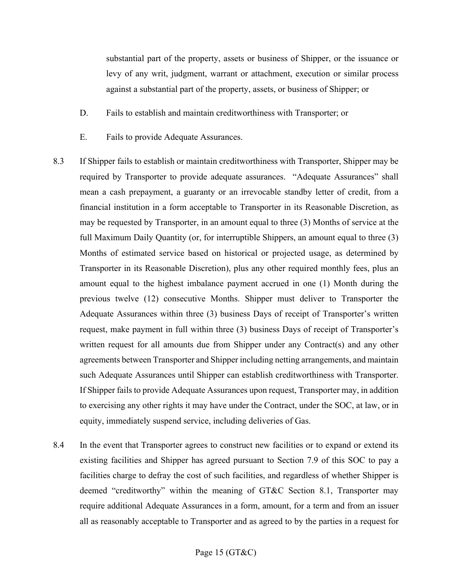substantial part of the property, assets or business of Shipper, or the issuance or levy of any writ, judgment, warrant or attachment, execution or similar process against a substantial part of the property, assets, or business of Shipper; or

- D. Fails to establish and maintain creditworthiness with Transporter; or
- E. Fails to provide Adequate Assurances.
- 8.3 If Shipper fails to establish or maintain creditworthiness with Transporter, Shipper may be required by Transporter to provide adequate assurances. "Adequate Assurances" shall mean a cash prepayment, a guaranty or an irrevocable standby letter of credit, from a financial institution in a form acceptable to Transporter in its Reasonable Discretion, as may be requested by Transporter, in an amount equal to three (3) Months of service at the full Maximum Daily Quantity (or, for interruptible Shippers, an amount equal to three (3) Months of estimated service based on historical or projected usage, as determined by Transporter in its Reasonable Discretion), plus any other required monthly fees, plus an amount equal to the highest imbalance payment accrued in one (1) Month during the previous twelve (12) consecutive Months. Shipper must deliver to Transporter the Adequate Assurances within three (3) business Days of receipt of Transporter's written request, make payment in full within three (3) business Days of receipt of Transporter's written request for all amounts due from Shipper under any Contract(s) and any other agreements between Transporter and Shipper including netting arrangements, and maintain such Adequate Assurances until Shipper can establish creditworthiness with Transporter. If Shipper fails to provide Adequate Assurances upon request, Transporter may, in addition to exercising any other rights it may have under the Contract, under the SOC, at law, or in equity, immediately suspend service, including deliveries of Gas.
- 8.4 In the event that Transporter agrees to construct new facilities or to expand or extend its existing facilities and Shipper has agreed pursuant to Section 7.9 of this SOC to pay a facilities charge to defray the cost of such facilities, and regardless of whether Shipper is deemed "creditworthy" within the meaning of GT&C Section 8.1, Transporter may require additional Adequate Assurances in a form, amount, for a term and from an issuer all as reasonably acceptable to Transporter and as agreed to by the parties in a request for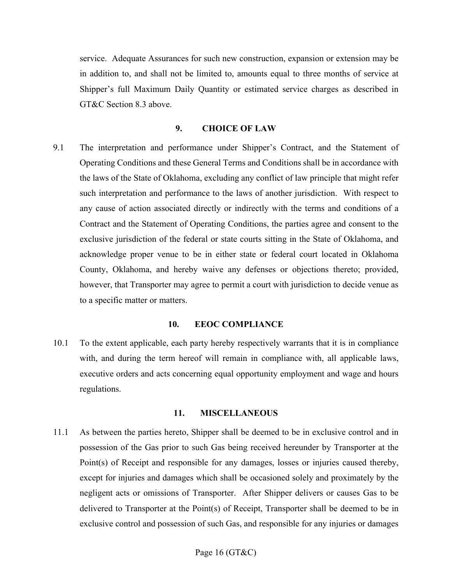service. Adequate Assurances for such new construction, expansion or extension may be in addition to, and shall not be limited to, amounts equal to three months of service at Shipper's full Maximum Daily Quantity or estimated service charges as described in GT&C Section 8.3 above.

#### **9. CHOICE OF LAW**

9.1 The interpretation and performance under Shipper's Contract, and the Statement of Operating Conditions and these General Terms and Conditions shall be in accordance with the laws of the State of Oklahoma, excluding any conflict of law principle that might refer such interpretation and performance to the laws of another jurisdiction. With respect to any cause of action associated directly or indirectly with the terms and conditions of a Contract and the Statement of Operating Conditions, the parties agree and consent to the exclusive jurisdiction of the federal or state courts sitting in the State of Oklahoma, and acknowledge proper venue to be in either state or federal court located in Oklahoma County, Oklahoma, and hereby waive any defenses or objections thereto; provided, however, that Transporter may agree to permit a court with jurisdiction to decide venue as to a specific matter or matters.

#### **10. EEOC COMPLIANCE**

10.1 To the extent applicable, each party hereby respectively warrants that it is in compliance with, and during the term hereof will remain in compliance with, all applicable laws, executive orders and acts concerning equal opportunity employment and wage and hours regulations.

#### **11. MISCELLANEOUS**

11.1 As between the parties hereto, Shipper shall be deemed to be in exclusive control and in possession of the Gas prior to such Gas being received hereunder by Transporter at the Point(s) of Receipt and responsible for any damages, losses or injuries caused thereby, except for injuries and damages which shall be occasioned solely and proximately by the negligent acts or omissions of Transporter. After Shipper delivers or causes Gas to be delivered to Transporter at the Point(s) of Receipt, Transporter shall be deemed to be in exclusive control and possession of such Gas, and responsible for any injuries or damages